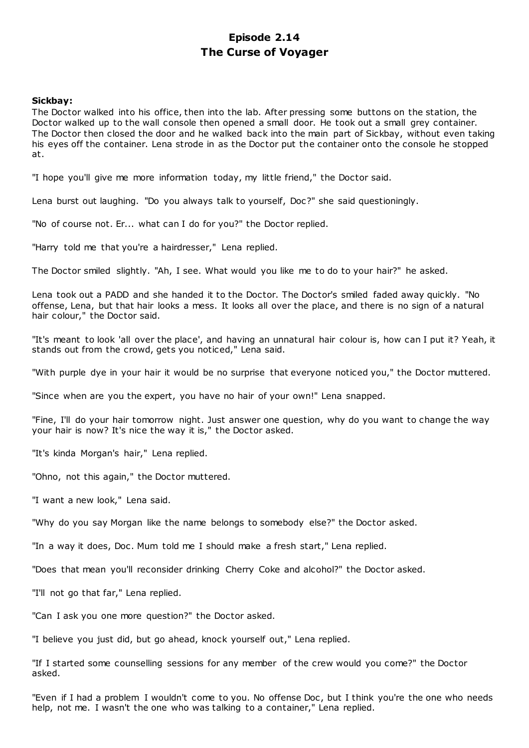# **Episode 2.14 The Curse of Voyager**

## **Sickbay:**

The Doctor walked into his office, then into the lab. After pressing some buttons on the station, the Doctor walked up to the wall console then opened a small door. He took out a small grey container. The Doctor then closed the door and he walked back into the main part of Sickbay, without even taking his eyes off the container. Lena strode in as the Doctor put the container onto the console he stopped at.

"I hope you'll give me more information today, my little friend," the Doctor said.

Lena burst out laughing. "Do you always talk to yourself, Doc?" she said questioningly.

"No of course not. Er... what can I do for you?" the Doctor replied.

"Harry told me that you're a hairdresser," Lena replied.

The Doctor smiled slightly. "Ah, I see. What would you like me to do to your hair?" he asked.

Lena took out a PADD and she handed it to the Doctor. The Doctor's smiled faded away quickly. "No offense, Lena, but that hair looks a mess. It looks all over the place, and there is no sign of a natural hair colour," the Doctor said.

"It's meant to look 'all over the place', and having an unnatural hair colour is, how can I put it? Yeah, it stands out from the crowd, gets you noticed," Lena said.

"With purple dye in your hair it would be no surprise that everyone noticed you," the Doctor muttered.

"Since when are you the expert, you have no hair of your own!" Lena snapped.

"Fine, I'll do your hair tomorrow night. Just answer one question, why do you want to change the way your hair is now? It's nice the way it is," the Doctor asked.

"It's kinda Morgan's hair," Lena replied.

"Ohno, not this again," the Doctor muttered.

"I want a new look," Lena said.

"Why do you say Morgan like the name belongs to somebody else?" the Doctor asked.

"In a way it does, Doc . Mum told me I should make a fresh start," Lena replied.

"Does that mean you'll reconsider drinking Cherry Coke and alcohol?" the Doctor asked.

"I'll not go that far," Lena replied.

"Can I ask you one more question?" the Doctor asked.

"I believe you just did, but go ahead, knock yourself out," Lena replied.

"If I started some counselling sessions for any member of the crew would you come?" the Doctor asked.

"Even if I had a problem I wouldn't come to you. No offense Doc, but I think you're the one who needs help, not me. I wasn't the one who was talking to a container," Lena replied.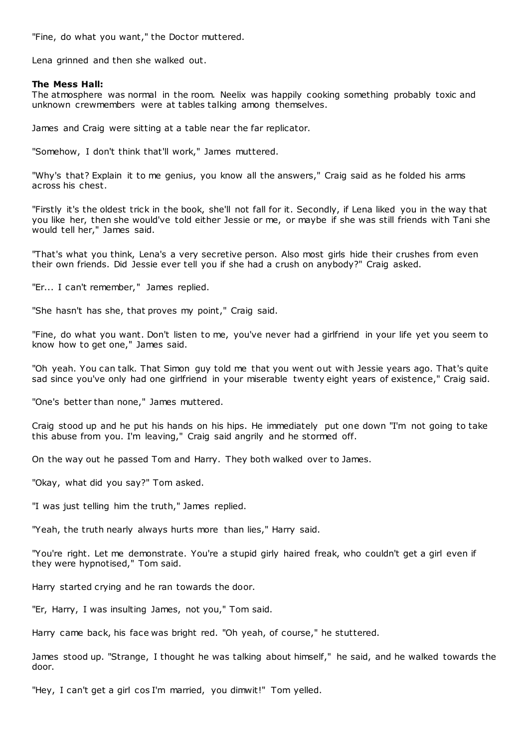"Fine, do what you want," the Doctor muttered.

Lena grinned and then she walked out.

## **The Mess Hall:**

The atmosphere was normal in the room. Neelix was happily cooking something probably toxic and unknown crewmembers were at tables talking among themselves.

James and Craig were sitting at a table near the far replicator.

"Somehow, I don't think that'll work," James muttered.

"Why's that? Explain it to me genius, you know all the answers," Craig said as he folded his arms across his chest.

"Firstly it's the oldest trick in the book, she'll not fall for it. Secondly, if Lena liked you in the way that you like her, then she would've told either Jessie or me, or maybe if she was still friends with Tani she would tell her," James said.

"That's what you think, Lena's a very secretive person. Also most girls hide their crushes from even their own friends. Did Jessie ever tell you if she had a crush on anybody?" Craig asked.

"Er... I can't remember," James replied.

"She hasn't has she, that proves my point," Craig said.

"Fine, do what you want. Don't listen to me, you've never had a girlfriend in your life yet you seem to know how to get one," James said.

"Oh yeah. You can talk. That Simon guy told me that you went out with Jessie years ago. That's quite sad since you've only had one girlfriend in your miserable twenty eight years of existence," Craig said.

"One's better than none," James muttered.

Craig stood up and he put his hands on his hips. He immediately put one down "I'm not going to take this abuse from you. I'm leaving," Craig said angrily and he stormed off.

On the way out he passed Tom and Harry. They both walked over to James.

"Okay, what did you say?" Tom asked.

"I was just telling him the truth," James replied.

"Yeah, the truth nearly always hurts more than lies," Harry said.

"You're right. Let me demonstrate. You're a stupid girly haired freak, who couldn't get a girl even if they were hypnotised," Tom said.

Harry started crying and he ran towards the door.

"Er, Harry, I was insulting James, not you," Tom said.

Harry came back, his face was bright red. "Oh yeah, of course," he stuttered.

James stood up. "Strange, I thought he was talking about himself," he said, and he walked towards the door.

"Hey, I can't get a girl cos I'm married, you dimwit!" Tom yelled.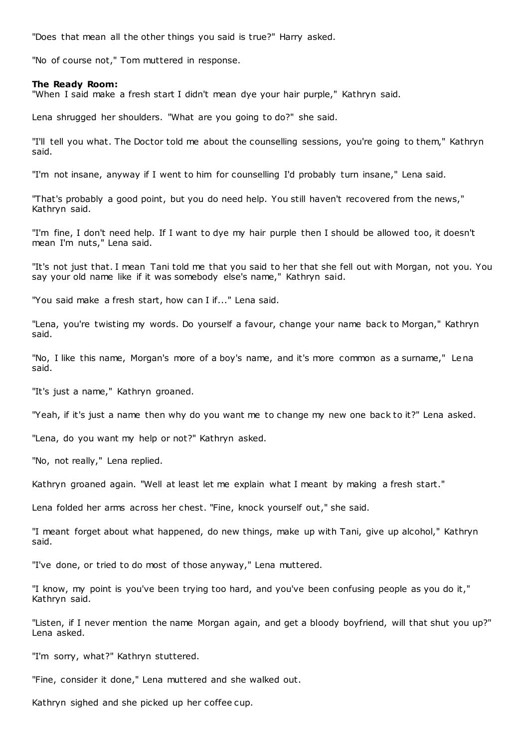"Does that mean all the other things you said is true?" Harry asked.

"No of course not," Tom muttered in response.

#### **The Ready Room:**

"When I said make a fresh start I didn't mean dye your hair purple," Kathryn said.

Lena shrugged her shoulders. "What are you going to do?" she said.

"I'll tell you what. The Doctor told me about the counselling sessions, you're going to them," Kathryn said.

"I'm not insane, anyway if I went to him for counselling I'd probably turn insane," Lena said.

"That's probably a good point, but you do need help. You still haven't recovered from the news," Kathryn said.

"I'm fine, I don't need help. If I want to dye my hair purple then I should be allowed too, it doesn't mean I'm nuts," Lena said.

"It's not just that. I mean Tani told me that you said to her that she fell out with Morgan, not you. You say your old name like if it was somebody else's name," Kathryn said.

"You said make a fresh start, how can I if..." Lena said.

"Lena, you're twisting my words. Do yourself a favour, change your name back to Morgan," Kathryn said.

"No, I like this name, Morgan's more of a boy's name, and it's more common as a surname," Lena said.

"It's just a name," Kathryn groaned.

"Yeah, if it's just a name then why do you want me to change my new one back to it?" Lena asked.

"Lena, do you want my help or not?" Kathryn asked.

"No, not really," Lena replied.

Kathryn groaned again. "Well at least let me explain what I meant by making a fresh start."

Lena folded her arms across her chest. "Fine, knock yourself out," she said.

"I meant forget about what happened, do new things, make up with Tani, give up alcohol," Kathryn said.

"I've done, or tried to do most of those anyway," Lena muttered.

"I know, my point is you've been trying too hard, and you've been confusing people as you do it," Kathryn said.

"Listen, if I never mention the name Morgan again, and get a bloody boyfriend, will that shut you up?" Lena asked.

"I'm sorry, what?" Kathryn stuttered.

"Fine, consider it done," Lena muttered and she walked out.

Kathryn sighed and she picked up her coffee cup.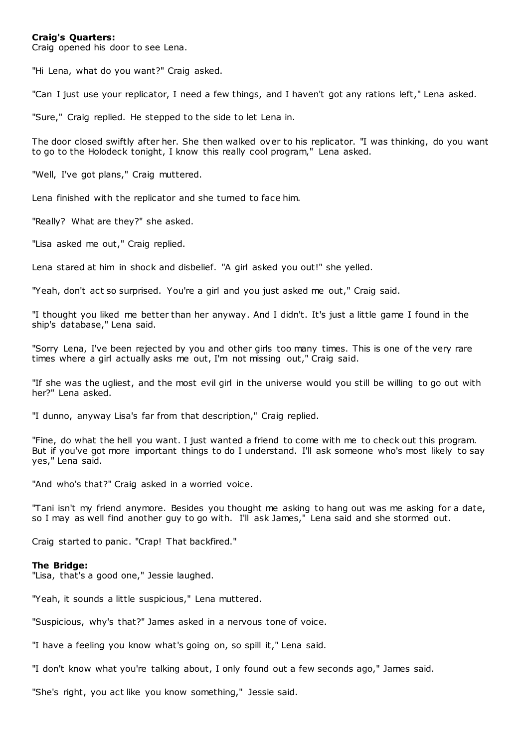## **Craig's Quarters:**

Craig opened his door to see Lena.

"Hi Lena, what do you want?" Craig asked.

"Can I just use your replicator, I need a few things, and I haven't got any rations left," Lena asked.

"Sure," Craig replied. He stepped to the side to let Lena in.

The door closed swiftly after her. She then walked over to his replicator. "I was thinking, do you want to go to the Holodeck tonight, I know this really cool program," Lena asked.

"Well, I've got plans," Craig muttered.

Lena finished with the replicator and she turned to face him.

"Really? What are they?" she asked.

"Lisa asked me out," Craig replied.

Lena stared at him in shock and disbelief. "A girl asked you out!" she yelled.

"Yeah, don't act so surprised. You're a girl and you just asked me out," Craig said.

"I thought you liked me better than her anyway. And I didn't. It's just a little game I found in the ship's database," Lena said.

"Sorry Lena, I've been rejected by you and other girls too many times. This is one of the very rare times where a girl actually asks me out, I'm not missing out," Craig said.

"If she was the ugliest, and the most evil girl in the universe would you still be willing to go out with her?" Lena asked.

"I dunno, anyway Lisa's far from that description," Craig replied.

"Fine, do what the hell you want. I just wanted a friend to come with me to check out this program. But if you've got more important things to do I understand. I'll ask someone who's most likely to say yes," Lena said.

"And who's that?" Craig asked in a worried voice.

"Tani isn't my friend anymore. Besides you thought me asking to hang out was me asking for a date, so I may as well find another guy to go with. I'll ask James," Lena said and she stormed out.

Craig started to panic. "Crap! That backfired."

#### **The Bridge:**

"Lisa, that's a good one," Jessie laughed.

"Yeah, it sounds a little suspicious," Lena muttered.

"Suspicious, why's that?" James asked in a nervous tone of voice.

"I have a feeling you know what's going on, so spill it," Lena said.

"I don't know what you're talking about, I only found out a few seconds ago," James said.

"She's right, you act like you know something," Jessie said.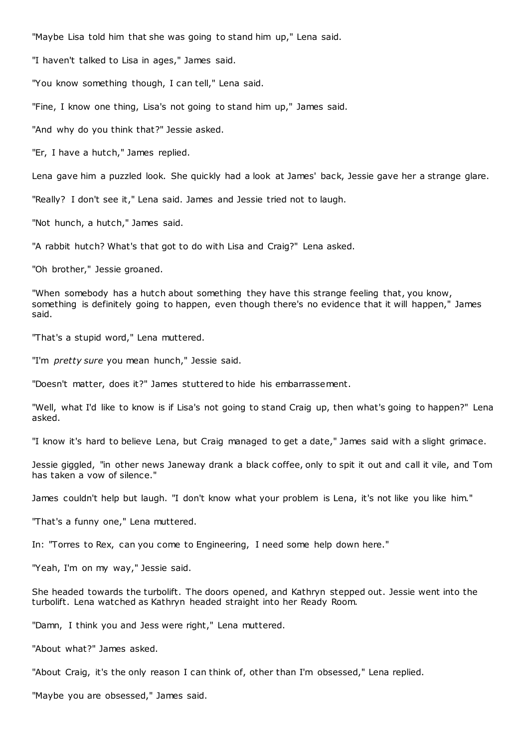"Maybe Lisa told him that she was going to stand him up," Lena said.

"I haven't talked to Lisa in ages," James said.

"You know something though, I can tell," Lena said.

"Fine, I know one thing, Lisa's not going to stand him up," James said.

"And why do you think that?" Jessie asked.

"Er, I have a hutch," James replied.

Lena gave him a puzzled look. She quickly had a look at James' back, Jessie gave her a strange glare.

"Really? I don't see it," Lena said. James and Jessie tried not to laugh.

"Not hunch, a hutch," James said.

"A rabbit hutch? What's that got to do with Lisa and Craig?" Lena asked.

"Oh brother," Jessie groaned.

"When somebody has a hutch about something they have this strange feeling that, you know, something is definitely going to happen, even though there's no evidence that it will happen," James said.

"That's a stupid word," Lena muttered.

"I'm *pretty sure* you mean hunch," Jessie said.

"Doesn't matter, does it?" James stuttered to hide his embarrassement.

"Well, what I'd like to know is if Lisa's not going to stand Craig up, then what's going to happen?" Lena asked.

"I know it's hard to believe Lena, but Craig managed to get a date," James said with a slight grimace.

Jessie giggled, "in other news Janeway drank a black coffee, only to spit it out and call it vile, and Tom has taken a vow of silence."

James couldn't help but laugh. "I don't know what your problem is Lena, it's not like you like him."

"That's a funny one," Lena muttered.

In: "Torres to Rex, can you come to Engineering, I need some help down here."

"Yeah, I'm on my way," Jessie said.

She headed towards the turbolift. The doors opened, and Kathryn stepped out. Jessie went into the turbolift. Lena watched as Kathryn headed straight into her Ready Room.

"Damn, I think you and Jess were right," Lena muttered.

"About what?" James asked.

"About Craig, it's the only reason I can think of, other than I'm obsessed," Lena replied.

"Maybe you are obsessed," James said.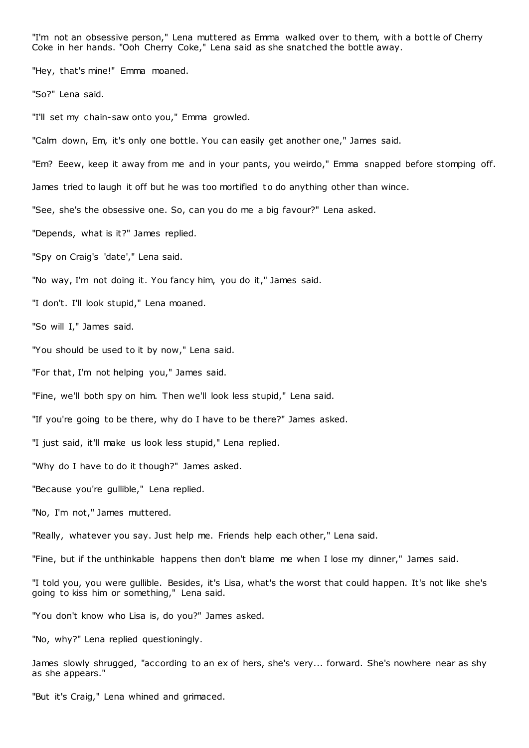"I'm not an obsessive person," Lena muttered as Emma walked over to them, with a bottle of Cherry Coke in her hands. "Ooh Cherry Coke," Lena said as she snatched the bottle away.

"Hey, that's mine!" Emma moaned.

"So?" Lena said.

"I'll set my chain-saw onto you," Emma growled.

"Calm down, Em, it's only one bottle. You can easily get another one," James said.

"Em? Eeew, keep it away from me and in your pants, you weirdo," Emma snapped before stomping off.

James tried to laugh it off but he was too mortified to do anything other than wince.

"See, she's the obsessive one. So, can you do me a big favour?" Lena asked.

"Depends, what is it?" James replied.

"Spy on Craig's 'date'," Lena said.

"No way, I'm not doing it. You fancy him, you do it," James said.

"I don't. I'll look stupid," Lena moaned.

"So will I," James said.

"You should be used to it by now," Lena said.

"For that, I'm not helping you," James said.

"Fine, we'll both spy on him. Then we'll look less stupid," Lena said.

"If you're going to be there, why do I have to be there?" James asked.

"I just said, it'll make us look less stupid," Lena replied.

"Why do I have to do it though?" James asked.

"Because you're gullible," Lena replied.

"No, I'm not," James muttered.

"Really, whatever you say. Just help me. Friends help each other," Lena said.

"Fine, but if the unthinkable happens then don't blame me when I lose my dinner," James said.

"I told you, you were gullible. Besides, it's Lisa, what's the worst that could happen. It's not like she's going to kiss him or something," Lena said.

"You don't know who Lisa is, do you?" James asked.

"No, why?" Lena replied questioningly.

James slowly shrugged, "according to an ex of hers, she's very... forward. She's nowhere near as shy as she appears."

"But it's Craig," Lena whined and grimaced.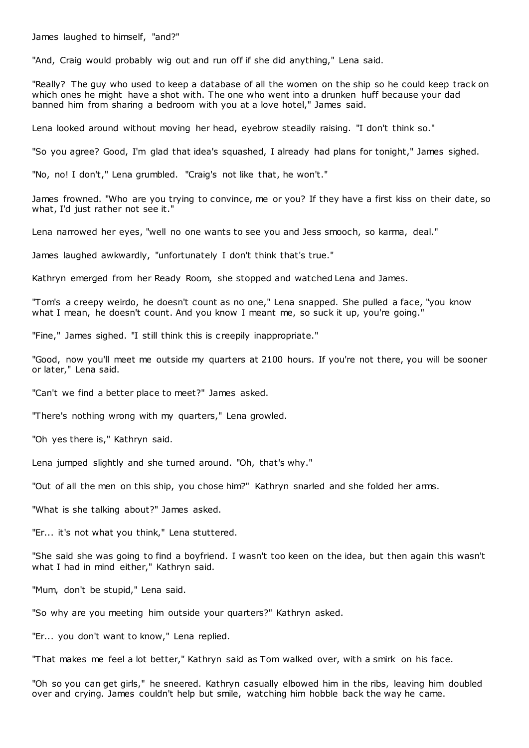James laughed to himself, "and?"

"And, Craig would probably wig out and run off if she did anything," Lena said.

"Really? The guy who used to keep a database of all the women on the ship so he could keep track on which ones he might have a shot with. The one who went into a drunken huff because your dad banned him from sharing a bedroom with you at a love hotel," James said.

Lena looked around without moving her head, eyebrow steadily raising. "I don't think so."

"So you agree? Good, I'm glad that idea's squashed, I already had plans for tonight," James sighed.

"No, no! I don't," Lena grumbled. "Craig's not like that, he won't."

James frowned. "Who are you trying to convince, me or you? If they have a first kiss on their date, so what, I'd just rather not see it."

Lena narrowed her eyes, "well no one wants to see you and Jess smooch, so karma, deal."

James laughed awkwardly, "unfortunately I don't think that's true."

Kathryn emerged from her Ready Room, she stopped and watched Lena and James.

"Tom's a creepy weirdo, he doesn't count as no one," Lena snapped. She pulled a face, "you know what I mean, he doesn't count. And you know I meant me, so suck it up, you're going.'

"Fine," James sighed. "I still think this is c reepily inappropriate."

"Good, now you'll meet me outside my quarters at 2100 hours. If you're not there, you will be sooner or later," Lena said.

"Can't we find a better place to meet?" James asked.

"There's nothing wrong with my quarters," Lena growled.

"Oh yes there is," Kathryn said.

Lena jumped slightly and she turned around. "Oh, that's why."

"Out of all the men on this ship, you chose him?" Kathryn snarled and she folded her arms.

"What is she talking about?" James asked.

"Er... it's not what you think," Lena stuttered.

"She said she was going to find a boyfriend. I wasn't too keen on the idea, but then again this wasn't what I had in mind either," Kathryn said.

"Mum, don't be stupid," Lena said.

"So why are you meeting him outside your quarters?" Kathryn asked.

"Er... you don't want to know," Lena replied.

"That makes me feel a lot better," Kathryn said as Tom walked over, with a smirk on his face.

"Oh so you can get girls," he sneered. Kathryn casually elbowed him in the ribs, leaving him doubled over and crying. James couldn't help but smile, watching him hobble back the way he came.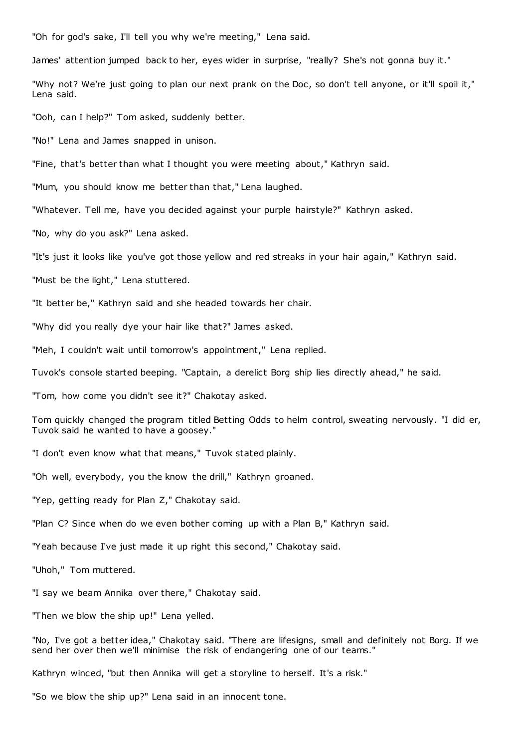"Oh for god's sake, I'll tell you why we're meeting," Lena said.

James' attention jumped back to her, eyes wider in surprise, "really? She's not gonna buy it."

"Why not? We're just going to plan our next prank on the Doc, so don't tell anyone, or it'll spoil it," Lena said.

"Ooh, can I help?" Tom asked, suddenly better.

"No!" Lena and James snapped in unison.

"Fine, that's better than what I thought you were meeting about," Kathryn said.

"Mum, you should know me better than that," Lena laughed.

"Whatever. Tell me, have you decided against your purple hairstyle?" Kathryn asked.

"No, why do you ask?" Lena asked.

"It's just it looks like you've got those yellow and red streaks in your hair again," Kathryn said.

"Must be the light," Lena stuttered.

"It better be," Kathryn said and she headed towards her chair.

"Why did you really dye your hair like that?" James asked.

"Meh, I couldn't wait until tomorrow's appointment," Lena replied.

Tuvok's console started beeping. "Captain, a derelict Borg ship lies directly ahead," he said.

"Tom, how come you didn't see it?" Chakotay asked.

Tom quickly changed the program titled Betting Odds to helm control, sweating nervously. "I did er, Tuvok said he wanted to have a goosey."

"I don't even know what that means," Tuvok stated plainly.

"Oh well, everybody, you the know the drill," Kathryn groaned.

"Yep, getting ready for Plan Z," Chakotay said.

"Plan C? Since when do we even bother coming up with a Plan B," Kathryn said.

"Yeah because I've just made it up right this second," Chakotay said.

"Uhoh," Tom muttered.

"I say we beam Annika over there," Chakotay said.

"Then we blow the ship up!" Lena yelled.

"No, I've got a better idea," Chakotay said. "There are lifesigns, small and definitely not Borg. If we send her over then we'll minimise the risk of endangering one of our teams."

Kathryn winced, "but then Annika will get a storyline to herself. It's a risk."

"So we blow the ship up?" Lena said in an innocent tone.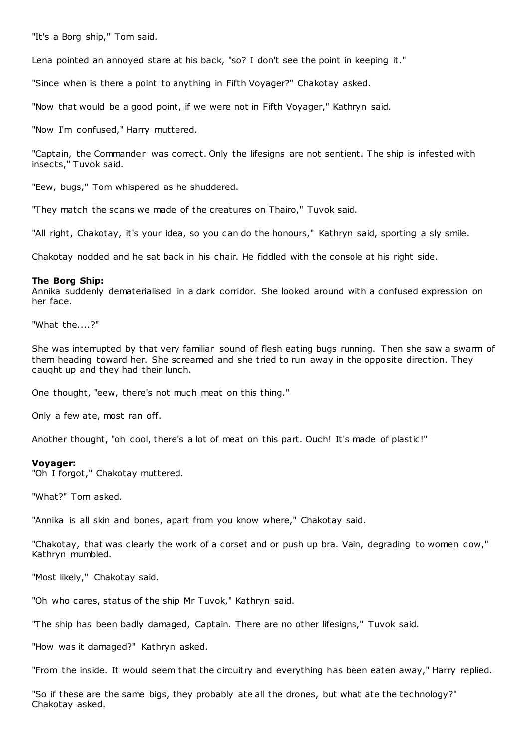"It's a Borg ship," Tom said.

Lena pointed an annoyed stare at his back, "so? I don't see the point in keeping it."

"Since when is there a point to anything in Fifth Voyager?" Chakotay asked.

"Now that would be a good point, if we were not in Fifth Voyager," Kathryn said.

"Now I'm confused," Harry muttered.

"Captain, the Commander was correct. Only the lifesigns are not sentient. The ship is infested with insects," Tuvok said.

"Eew, bugs," Tom whispered as he shuddered.

"They match the scans we made of the creatures on Thairo," Tuvok said.

"All right, Chakotay, it's your idea, so you can do the honours," Kathryn said, sporting a sly smile.

Chakotay nodded and he sat back in his chair. He fiddled with the console at his right side.

## **The Borg Ship:**

Annika suddenly dematerialised in a dark corridor. She looked around with a confused expression on her face.

"What the....?"

She was interrupted by that very familiar sound of flesh eating bugs running. Then she saw a swarm of them heading toward her. She screamed and she tried to run away in the opposite direction. They caught up and they had their lunch.

One thought, "eew, there's not much meat on this thing."

Only a few ate, most ran off.

Another thought, "oh cool, there's a lot of meat on this part. Ouch! It's made of plastic!"

## **Voyager:**

"Oh I forgot," Chakotay muttered.

"What?" Tom asked.

"Annika is all skin and bones, apart from you know where," Chakotay said.

"Chakotay, that was clearly the work of a corset and or push up bra. Vain, degrading to women cow," Kathryn mumbled.

"Most likely," Chakotay said.

"Oh who cares, status of the ship Mr Tuvok," Kathryn said.

"The ship has been badly damaged, Captain. There are no other lifesigns," Tuvok said.

"How was it damaged?" Kathryn asked.

"From the inside. It would seem that the circuitry and everything has been eaten away," Harry replied.

"So if these are the same bigs, they probably ate all the drones, but what ate the technology?" Chakotay asked.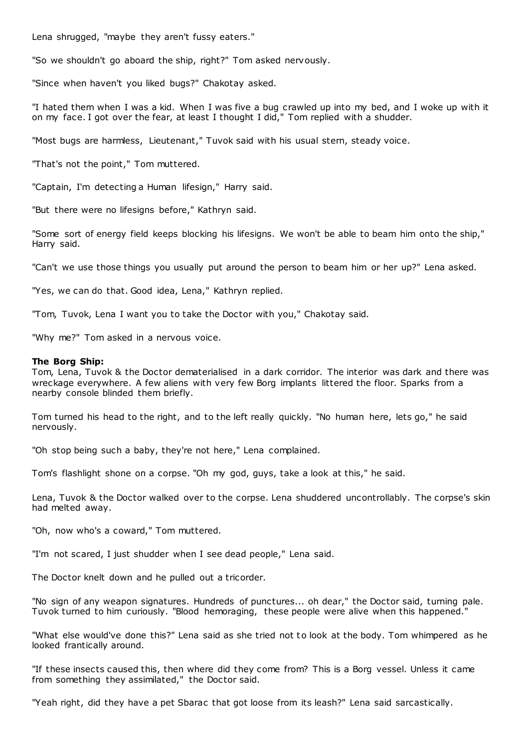Lena shrugged, "maybe they aren't fussy eaters."

"So we shouldn't go aboard the ship, right?" Tom asked nervously.

"Since when haven't you liked bugs?" Chakotay asked.

"I hated them when I was a kid. When I was five a bug crawled up into my bed, and I woke up with it on my face. I got over the fear, at least I thought I did," Tom replied with a shudder.

"Most bugs are harmless, Lieutenant," Tuvok said with his usual stern, steady voice.

"That's not the point," Tom muttered.

"Captain, I'm detecting a Human lifesign," Harry said.

"But there were no lifesigns before," Kathryn said.

"Some sort of energy field keeps blocking his lifesigns. We won't be able to beam him onto the ship," Harry said.

"Can't we use those things you usually put around the person to beam him or her up?" Lena asked.

"Yes, we can do that. Good idea, Lena," Kathryn replied.

"Tom, Tuvok, Lena I want you to take the Doctor with you," Chakotay said.

"Why me?" Tom asked in a nervous voice.

## **The Borg Ship:**

Tom, Lena, Tuvok & the Doctor dematerialised in a dark corridor. The interior was dark and there was wreckage everywhere. A few aliens with very few Borg implants littered the floor. Sparks from a nearby console blinded them briefly.

Tom turned his head to the right, and to the left really quickly. "No human here, lets go," he said nervously.

"Oh stop being such a baby, they're not here," Lena complained.

Tom's flashlight shone on a corpse. "Oh my god, guys, take a look at this," he said.

Lena, Tuvok & the Doctor walked over to the corpse. Lena shuddered uncontrollably. The corpse's skin had melted away.

"Oh, now who's a coward," Tom muttered.

"I'm not scared, I just shudder when I see dead people," Lena said.

The Doctor knelt down and he pulled out a tricorder.

"No sign of any weapon signatures. Hundreds of punctures... oh dear," the Doctor said, turning pale. Tuvok turned to him curiously. "Blood hemoraging, these people were alive when this happened."

"What else would've done this?" Lena said as she tried not to look at the body. Tom whimpered as he looked frantically around.

"If these insects caused this, then where did they come from? This is a Borg vessel. Unless it came from something they assimilated," the Doctor said.

"Yeah right, did they have a pet Sbarac that got loose from its leash?" Lena said sarcastically.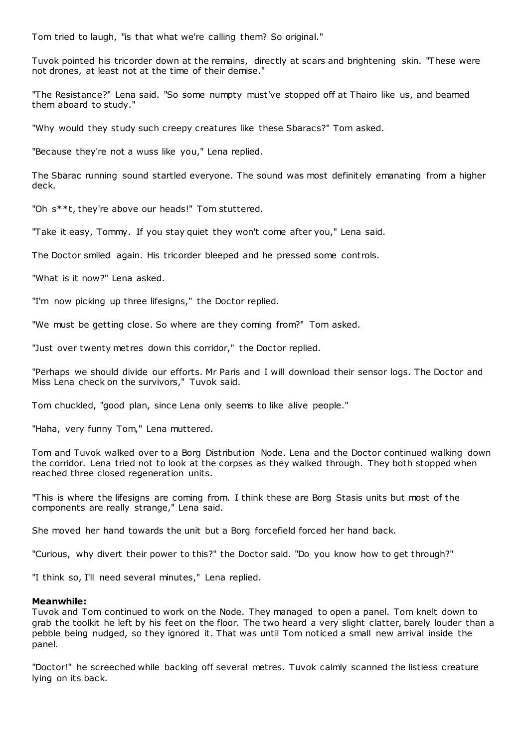Tom tried to laugh, "is that what we're calling them? So original."

Tuvok pointed his tricorder down at the remains, directly at scars and brightening skin. "These were not drones, at least not at the time of their demise."

"The Resistance?" Lena said. "So some numpty must've stopped off at Thairo like us, and beamed them aboard to study."

"Why would they study such creepy creatures like these Sbaracs?" Tom asked.

"Because they're not a wuss like you," Lena replied.

The Sbarac running sound startled everyone. The sound was most definitely emanating from a higher deck.

"Oh s\*\*t, they're above our heads!" Tom stuttered.

"Take it easy, Tommy. If you stay quiet they won't come after you," Lena said.

The Doctor smiled again. His tricorder bleeped and he pressed some controls.

"What is it now?" Lena asked.

"I'm now picking up three lifesigns," the Doctor replied.

"We must be getting close. So where are they coming from?" Tom asked.

"Just over twenty metres down this corridor," the Doctor replied.

"Perhaps we should divide our efforts. Mr Paris and I will download their sensor logs. The Doctor and Miss Lena check on the survivors," Tuvok said.

Tom chuckled, "good plan, since Lena only seems to like alive people."

"Haha, very funny Tom," Lena muttered.

Tom and Tuvok walked over to a Borg Distribution Node. Lena and the Doctor continued walking down the corridor. Lena tried not to look at the corpses as they walked through. They both stopped when reached three closed regeneration units.

"This is where the lifesigns are coming from. I think these are Borg Stasis units but most of the components are really strange," Lena said.

She moved her hand towards the unit but a Borg forcefield forced her hand back.

"Curious, why divert their power to this?" the Doctor said. "Do you know how to get through?"

"I think so, I'll need several minutes," Lena replied.

## **Meanwhile:**

Tuvok and Tom continued to work on the Node. They managed to open a panel. Tom knelt down to grab the toolkit he left by his feet on the floor. The two heard a very slight clatter, barely louder than a pebble being nudged, so they ignored it. That was until Tom noticed a small new arrival inside the panel.

"Doctor!" he screeched while backing off several metres. Tuvok calmly scanned the listless creature lying on its back.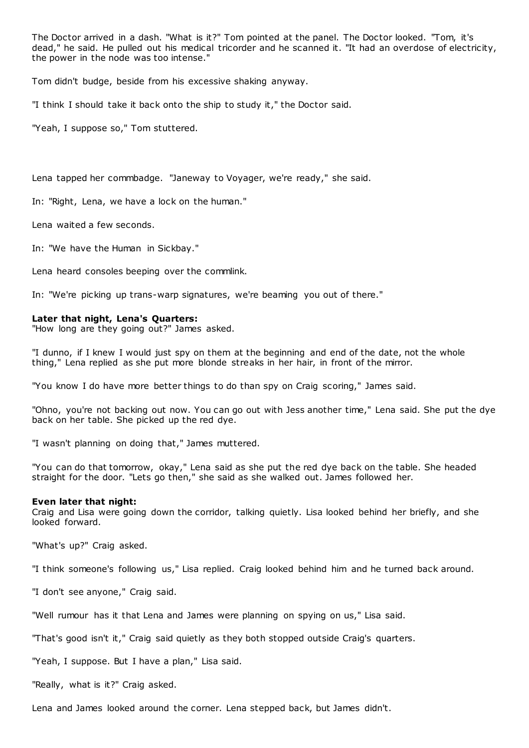The Doctor arrived in a dash. "What is it?" Tom pointed at the panel. The Doctor looked. "Tom, it's dead," he said. He pulled out his medical tricorder and he scanned it. "It had an overdose of electricity, the power in the node was too intense."

Tom didn't budge, beside from his excessive shaking anyway.

"I think I should take it back onto the ship to study it," the Doctor said.

"Yeah, I suppose so," Tom stuttered.

Lena tapped her commbadge. "Janeway to Voyager, we're ready," she said.

In: "Right, Lena, we have a lock on the human."

Lena waited a few seconds.

In: "We have the Human in Sickbay."

Lena heard consoles beeping over the commlink.

In: "We're picking up trans-warp signatures, we're beaming you out of there."

## **Later that night, Lena's Quarters:**

"How long are they going out?" James asked.

"I dunno, if I knew I would just spy on them at the beginning and end of the date, not the whole thing," Lena replied as she put more blonde streaks in her hair, in front of the mirror.

"You know I do have more better things to do than spy on Craig scoring," James said.

"Ohno, you're not backing out now. You can go out with Jess another time," Lena said. She put the dye back on her table. She picked up the red dye.

"I wasn't planning on doing that," James muttered.

"You can do that tomorrow, okay," Lena said as she put the red dye back on the table. She headed straight for the door. "Lets go then," she said as she walked out. James followed her.

## **Even later that night:**

Craig and Lisa were going down the corridor, talking quietly. Lisa looked behind her briefly, and she looked forward.

"What's up?" Craig asked.

"I think someone's following us," Lisa replied. Craig looked behind him and he turned back around.

"I don't see anyone," Craig said.

"Well rumour has it that Lena and James were planning on spying on us," Lisa said.

"That's good isn't it," Craig said quietly as they both stopped outside Craig's quarters.

"Yeah, I suppose. But I have a plan," Lisa said.

"Really, what is it?" Craig asked.

Lena and James looked around the corner. Lena stepped back, but James didn't.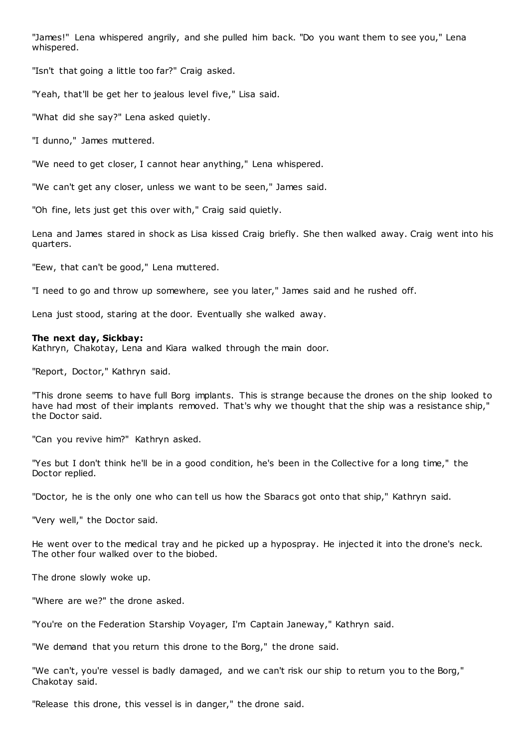"James!" Lena whispered angrily, and she pulled him back. "Do you want them to see you," Lena whispered.

"Isn't that going a little too far?" Craig asked.

"Yeah, that'll be get her to jealous level five," Lisa said.

"What did she say?" Lena asked quietly.

"I dunno," James muttered.

"We need to get closer, I cannot hear anything," Lena whispered.

"We can't get any closer, unless we want to be seen," James said.

"Oh fine, lets just get this over with," Craig said quietly.

Lena and James stared in shock as Lisa kissed Craig briefly. She then walked away. Craig went into his quarters.

"Eew, that can't be good," Lena muttered.

"I need to go and throw up somewhere, see you later," James said and he rushed off.

Lena just stood, staring at the door. Eventually she walked away.

#### **The next day, Sickbay:**

Kathryn, Chakotay, Lena and Kiara walked through the main door.

"Report, Doctor," Kathryn said.

"This drone seems to have full Borg implants. This is strange because the drones on the ship looked to have had most of their implants removed. That's why we thought that the ship was a resistance ship," the Doctor said.

"Can you revive him?" Kathryn asked.

"Yes but I don't think he'll be in a good condition, he's been in the Collective for a long time," the Doctor replied.

"Doctor, he is the only one who can tell us how the Sbaracs got onto that ship," Kathryn said.

"Very well," the Doctor said.

He went over to the medical tray and he picked up a hypospray. He injected it into the drone's neck. The other four walked over to the biobed.

The drone slowly woke up.

"Where are we?" the drone asked.

"You're on the Federation Starship Voyager, I'm Captain Janeway," Kathryn said.

"We demand that you return this drone to the Borg," the drone said.

"We can't, you're vessel is badly damaged, and we can't risk our ship to return you to the Borg," Chakotay said.

"Release this drone, this vessel is in danger," the drone said.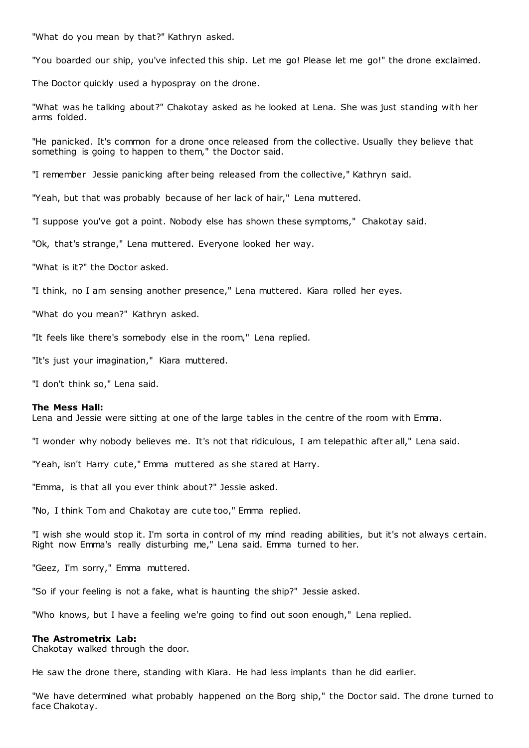"What do you mean by that?" Kathryn asked.

"You boarded our ship, you've infected this ship. Let me go! Please let me go!" the drone exclaimed.

The Doctor quickly used a hypospray on the drone.

"What was he talking about?" Chakotay asked as he looked at Lena. She was just standing with her arms folded.

"He panicked. It's common for a drone once released from the collective. Usually they believe that something is going to happen to them," the Doctor said.

"I remember Jessie panicking after being released from the collective," Kathryn said.

"Yeah, but that was probably because of her lack of hair," Lena muttered.

"I suppose you've got a point. Nobody else has shown these symptoms," Chakotay said.

"Ok, that's strange," Lena muttered. Everyone looked her way.

"What is it?" the Doctor asked.

"I think, no I am sensing another presence," Lena muttered. Kiara rolled her eyes.

"What do you mean?" Kathryn asked.

"It feels like there's somebody else in the room," Lena replied.

"It's just your imagination," Kiara muttered.

"I don't think so," Lena said.

#### **The Mess Hall:**

Lena and Jessie were sitting at one of the large tables in the centre of the room with Emma.

"I wonder why nobody believes me. It's not that ridiculous, I am telepathic after all," Lena said.

"Yeah, isn't Harry cute," Emma muttered as she stared at Harry.

"Emma, is that all you ever think about?" Jessie asked.

"No, I think Tom and Chakotay are cute too," Emma replied.

"I wish she would stop it. I'm sorta in control of my mind reading abilities, but it's not always certain. Right now Emma's really disturbing me," Lena said. Emma turned to her.

"Geez, I'm sorry," Emma muttered.

"So if your feeling is not a fake, what is haunting the ship?" Jessie asked.

"Who knows, but I have a feeling we're going to find out soon enough," Lena replied.

#### **The Astrometrix Lab:**

Chakotay walked through the door.

He saw the drone there, standing with Kiara. He had less implants than he did earlier.

"We have determined what probably happened on the Borg ship," the Doctor said. The drone turned to face Chakotay.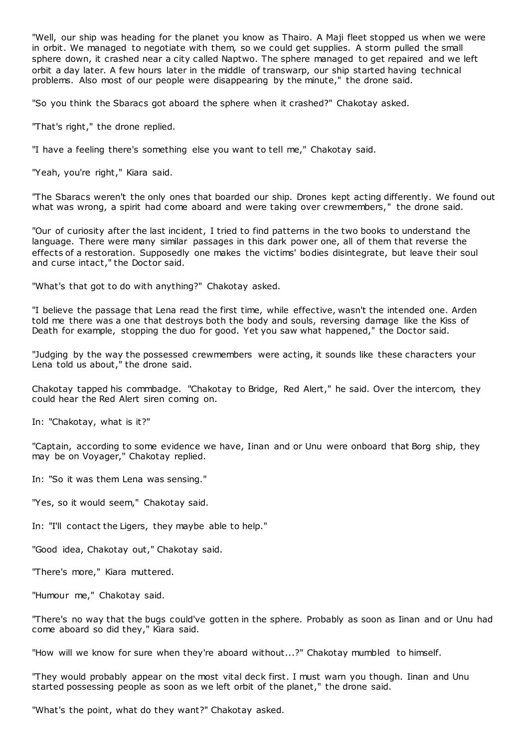"Well, our ship was heading for the planet you know as Thairo. A Maji fleet stopped us when we were in orbit. We managed to negotiate with them, so we could get supplies. A storm pulled the small sphere down, it crashed near a city called Naptwo. The sphere managed to get repaired and we left orbit a day later. A few hours later in the middle of transwarp, our ship started having technical problems. Also most of our people were disappearing by the minute," the drone said.

"So you think the Sbaracs got aboard the sphere when it crashed?" Chakotay asked.

"That's right," the drone replied.

"I have a feeling there's something else you want to tell me," Chakotay said.

"Yeah, you're right," Kiara said.

"The Sbaracs weren't the only ones that boarded our ship. Drones kept acting differently. We found out what was wrong, a spirit had come aboard and were taking over crewmembers," the drone said.

"Our of curiosity after the last incident, I tried to find patterns in the two books to understand the language. There were many similar passages in this dark power one, all of them that reverse the effects of a restoration. Supposedly one makes the victims' bodies disintegrate, but leave their soul and curse intact," the Doctor said.

"What's that got to do with anything?" Chakotay asked.

"I believe the passage that Lena read the first time, while effective, wasn't the intended one. Arden told me there was a one that destroys both the body and souls, reversing damage like the Kiss of Death for example, stopping the duo for good. Yet you saw what happened," the Doctor said.

"Judging by the way the possessed crewmembers were acting, it sounds like these characters your Lena told us about," the drone said.

Chakotay tapped his commbadge. "Chakotay to Bridge, Red Alert," he said. Over the intercom, they could hear the Red Alert siren coming on.

In: "Chakotay, what is it?"

"Captain, according to some evidence we have, Iinan and or Unu were onboard that Borg ship, they may be on Voyager," Chakotay replied.

In: "So it was them Lena was sensing."

"Yes, so it would seem," Chakotay said.

In: "I'll contact the Ligers, they maybe able to help."

"Good idea, Chakotay out," Chakotay said.

"There's more," Kiara muttered.

"Humour me," Chakotay said.

"There's no way that the bugs could've gotten in the sphere. Probably as soon as Iinan and or Unu had come aboard so did they," Kiara said.

"How will we know for sure when they're aboard without...?" Chakotay mumbled to himself.

"They would probably appear on the most vital deck first. I must warn you though. Iinan and Unu started possessing people as soon as we left orbit of the planet," the drone said.

"What's the point, what do they want?" Chakotay asked.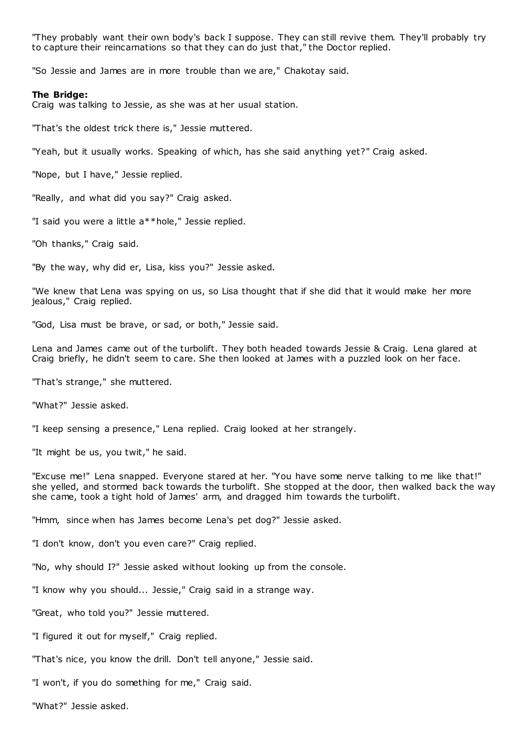"They probably want their own body's back I suppose. They can still revive them. They'll probably try to capture their reincarnations so that they can do just that," the Doctor replied.

"So Jessie and James are in more trouble than we are," Chakotay said.

#### **The Bridge:**

Craig was talking to Jessie, as she was at her usual station.

"That's the oldest trick there is," Jessie muttered.

"Yeah, but it usually works. Speaking of which, has she said anything yet?" Craig asked.

"Nope, but I have," Jessie replied.

"Really, and what did you say?" Craig asked.

"I said you were a little a\*\*hole," Jessie replied.

"Oh thanks," Craig said.

"By the way, why did er, Lisa, kiss you?" Jessie asked.

"We knew that Lena was spying on us, so Lisa thought that if she did that it would make her more jealous," Craig replied.

"God, Lisa must be brave, or sad, or both," Jessie said.

Lena and James came out of the turbolift. They both headed towards Jessie & Craig. Lena glared at Craig briefly, he didn't seem to care. She then looked at James with a puzzled look on her face.

"That's strange," she muttered.

"What?" Jessie asked.

"I keep sensing a presence," Lena replied. Craig looked at her strangely.

"It might be us, you twit," he said.

"Excuse me!" Lena snapped. Everyone stared at her. "You have some nerve talking to me like that!" she yelled, and stormed back towards the turbolift. She stopped at the door, then walked back the way she came, took a tight hold of James' arm, and dragged him towards the turbolift.

"Hmm, since when has James become Lena's pet dog?" Jessie asked.

"I don't know, don't you even care?" Craig replied.

"No, why should I?" Jessie asked without looking up from the console.

"I know why you should... Jessie," Craig said in a strange way.

"Great, who told you?" Jessie muttered.

"I figured it out for myself," Craig replied.

"That's nice, you know the drill. Don't tell anyone," Jessie said.

"I won't, if you do something for me," Craig said.

"What?" Jessie asked.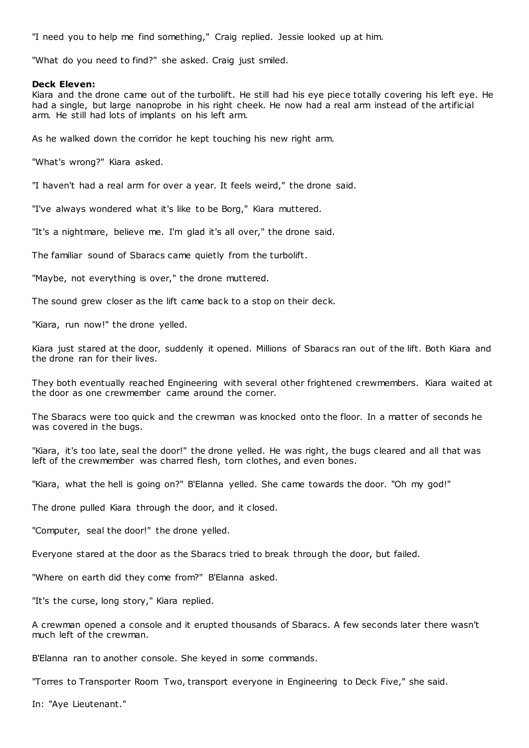"I need you to help me find something," Craig replied. Jessie looked up at him.

"What do you need to find?" she asked. Craig just smiled.

## **Deck Eleven:**

Kiara and the drone came out of the turbolift. He still had his eye piece totally covering his left eye. He had a single, but large nanoprobe in his right cheek. He now had a real arm instead of the artificial arm. He still had lots of implants on his left arm.

As he walked down the corridor he kept touching his new right arm.

"What's wrong?" Kiara asked.

"I haven't had a real arm for over a year. It feels weird," the drone said.

"I've always wondered what it's like to be Borg," Kiara muttered.

"It's a nightmare, believe me. I'm glad it's all over," the drone said.

The familiar sound of Sbaracs came quietly from the turbolift.

"Maybe, not everything is over," the drone muttered.

The sound grew closer as the lift came back to a stop on their deck.

"Kiara, run now!" the drone yelled.

Kiara just stared at the door, suddenly it opened. Millions of Sbaracs ran out of the lift. Both Kiara and the drone ran for their lives.

They both eventually reached Engineering with several other frightened crewmembers. Kiara waited at the door as one crewmember came around the corner.

The Sbaracs were too quick and the crewman was knocked onto the floor. In a matter of seconds he was covered in the bugs.

"Kiara, it's too late, seal the door!" the drone yelled. He was right, the bugs cleared and all that was left of the crewmember was charred flesh, torn clothes, and even bones.

"Kiara, what the hell is going on?" B'Elanna yelled. She came towards the door. "Oh my god!"

The drone pulled Kiara through the door, and it closed.

"Computer, seal the door!" the drone yelled.

Everyone stared at the door as the Sbaracs tried to break through the door, but failed.

"Where on earth did they come from?" B'Elanna asked.

"It's the curse, long story," Kiara replied.

A crewman opened a console and it erupted thousands of Sbaracs. A few seconds later there wasn't much left of the crewman.

B'Elanna ran to another console. She keyed in some commands.

"Torres to Transporter Room Two, transport everyone in Engineering to Deck Five," she said.

In: "Aye Lieutenant."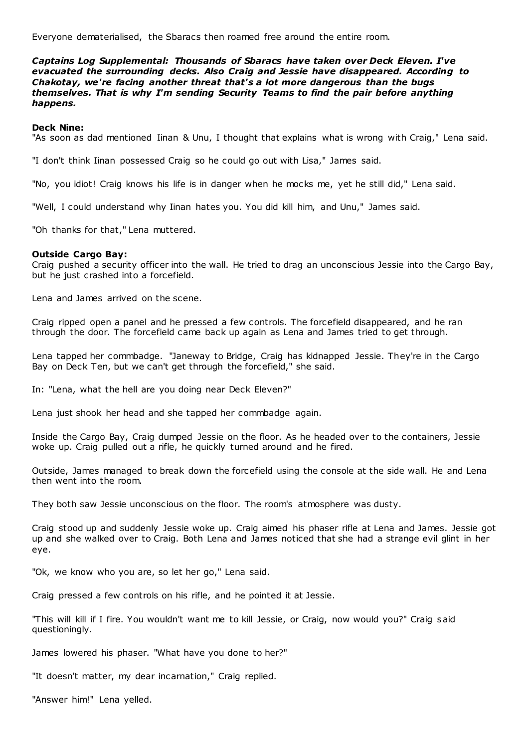Everyone dematerialised, the Sbaracs then roamed free around the entire room.

*Captains Log Supplemental: Thousands of Sbaracs have taken over Deck Eleven. I've evacuated the surrounding decks. Also Craig and Jessie have disappeared. According to Chakotay, we're facing another threat that's a lot more dangerous than the bugs themselves. That is why I'm sending Security Teams to find the pair before anything happens.*

## **Deck Nine:**

"As soon as dad mentioned Iinan & Unu, I thought that explains what is wrong with Craig," Lena said.

"I don't think Iinan possessed Craig so he could go out with Lisa," James said.

"No, you idiot! Craig knows his life is in danger when he mocks me, yet he still did," Lena said.

"Well, I could understand why Iinan hates you. You did kill him, and Unu," James said.

"Oh thanks for that," Lena muttered.

## **Outside Cargo Bay:**

Craig pushed a security officer into the wall. He tried to drag an unconscious Jessie into the Cargo Bay, but he just crashed into a forcefield.

Lena and James arrived on the scene.

Craig ripped open a panel and he pressed a few controls. The forcefield disappeared, and he ran through the door. The forcefield came back up again as Lena and James tried to get through.

Lena tapped her commbadge. "Janeway to Bridge, Craig has kidnapped Jessie. They're in the Cargo Bay on Deck Ten, but we can't get through the forcefield," she said.

In: "Lena, what the hell are you doing near Deck Eleven?"

Lena just shook her head and she tapped her commbadge again.

Inside the Cargo Bay, Craig dumped Jessie on the floor. As he headed over to the containers, Jessie woke up. Craig pulled out a rifle, he quickly turned around and he fired.

Outside, James managed to break down the forcefield using the console at the side wall. He and Lena then went into the room.

They both saw Jessie unconscious on the floor. The room's atmosphere was dusty.

Craig stood up and suddenly Jessie woke up. Craig aimed his phaser rifle at Lena and James. Jessie got up and she walked over to Craig. Both Lena and James noticed that she had a strange evil glint in her eye.

"Ok, we know who you are, so let her go," Lena said.

Craig pressed a few controls on his rifle, and he pointed it at Jessie.

"This will kill if I fire. You wouldn't want me to kill Jessie, or Craig, now would you?" Craig said questioningly.

James lowered his phaser. "What have you done to her?"

"It doesn't matter, my dear incarnation," Craig replied.

"Answer him!" Lena yelled.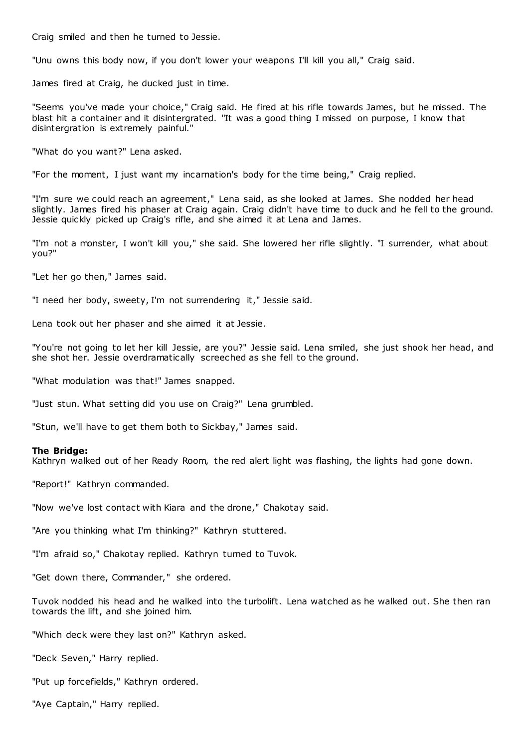Craig smiled and then he turned to Jessie.

"Unu owns this body now, if you don't lower your weapons I'll kill you all," Craig said.

James fired at Craig, he ducked just in time.

"Seems you've made your choice," Craig said. He fired at his rifle towards James, but he missed. The blast hit a container and it disintergrated. "It was a good thing I missed on purpose, I know that disintergration is extremely painful."

"What do you want?" Lena asked.

"For the moment, I just want my incarnation's body for the time being," Craig replied.

"I'm sure we could reach an agreement," Lena said, as she looked at James. She nodded her head slightly. James fired his phaser at Craig again. Craig didn't have time to duck and he fell to the ground. Jessie quickly picked up Craig's rifle, and she aimed it at Lena and James.

"I'm not a monster, I won't kill you," she said. She lowered her rifle slightly. "I surrender, what about you?"

"Let her go then," James said.

"I need her body, sweety, I'm not surrendering it," Jessie said.

Lena took out her phaser and she aimed it at Jessie.

"You're not going to let her kill Jessie, are you?" Jessie said. Lena smiled, she just shook her head, and she shot her. Jessie overdramatically screeched as she fell to the ground.

"What modulation was that!" James snapped.

"Just stun. What setting did you use on Craig?" Lena grumbled.

"Stun, we'll have to get them both to Sickbay," James said.

#### **The Bridge:**

Kathryn walked out of her Ready Room, the red alert light was flashing, the lights had gone down.

"Report!" Kathryn commanded.

"Now we've lost contact with Kiara and the drone," Chakotay said.

"Are you thinking what I'm thinking?" Kathryn stuttered.

"I'm afraid so," Chakotay replied. Kathryn turned to Tuvok.

"Get down there, Commander," she ordered.

Tuvok nodded his head and he walked into the turbolift. Lena watched as he walked out. She then ran towards the lift, and she joined him.

"Which deck were they last on?" Kathryn asked.

"Deck Seven," Harry replied.

"Put up forcefields," Kathryn ordered.

"Aye Captain," Harry replied.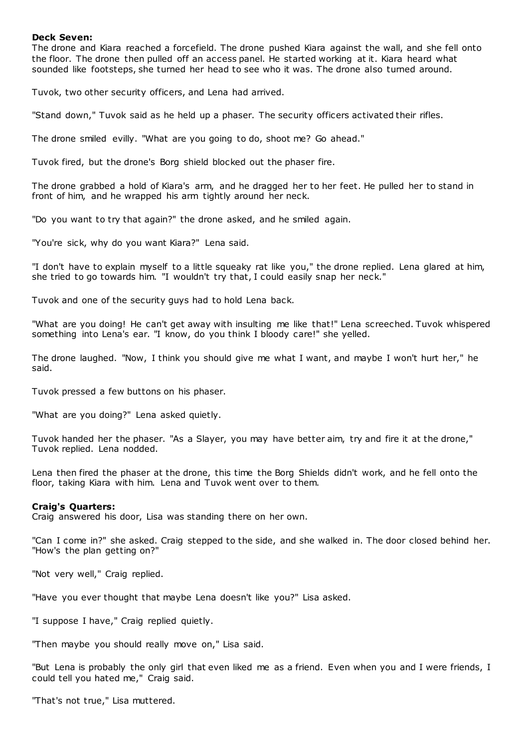## **Deck Seven:**

The drone and Kiara reached a forcefield. The drone pushed Kiara against the wall, and she fell onto the floor. The drone then pulled off an access panel. He started working at it. Kiara heard what sounded like footsteps, she turned her head to see who it was. The drone also turned around.

Tuvok, two other security officers, and Lena had arrived.

"Stand down," Tuvok said as he held up a phaser. The security officers activated their rifles.

The drone smiled evilly. "What are you going to do, shoot me? Go ahead."

Tuvok fired, but the drone's Borg shield blocked out the phaser fire.

The drone grabbed a hold of Kiara's arm, and he dragged her to her feet. He pulled her to stand in front of him, and he wrapped his arm tightly around her neck.

"Do you want to try that again?" the drone asked, and he smiled again.

"You're sick, why do you want Kiara?" Lena said.

"I don't have to explain myself to a little squeaky rat like you," the drone replied. Lena glared at him, she tried to go towards him. "I wouldn't try that, I could easily snap her neck."

Tuvok and one of the security guys had to hold Lena back.

"What are you doing! He can't get away with insulting me like that!" Lena screeched. Tuvok whispered something into Lena's ear. "I know, do you think I bloody care!" she yelled.

The drone laughed. "Now, I think you should give me what I want, and maybe I won't hurt her," he said.

Tuvok pressed a few buttons on his phaser.

"What are you doing?" Lena asked quietly.

Tuvok handed her the phaser. "As a Slayer, you may have better aim, try and fire it at the drone," Tuvok replied. Lena nodded.

Lena then fired the phaser at the drone, this time the Borg Shields didn't work, and he fell onto the floor, taking Kiara with him. Lena and Tuvok went over to them.

#### **Craig's Quarters:**

Craig answered his door, Lisa was standing there on her own.

"Can I come in?" she asked. Craig stepped to the side, and she walked in. The door closed behind her. "How's the plan getting on?"

"Not very well," Craig replied.

"Have you ever thought that maybe Lena doesn't like you?" Lisa asked.

"I suppose I have," Craig replied quietly.

"Then maybe you should really move on," Lisa said.

"But Lena is probably the only girl that even liked me as a friend. Even when you and I were friends, I could tell you hated me," Craig said.

"That's not true," Lisa muttered.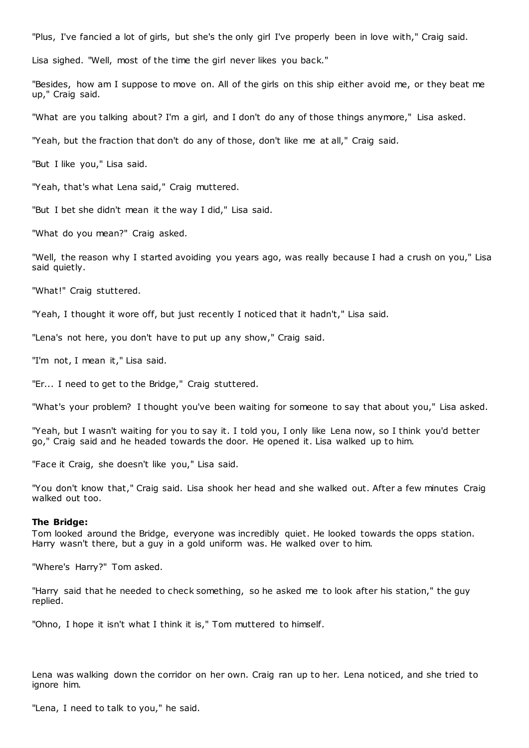"Plus, I've fancied a lot of girls, but she's the only girl I've properly been in love with," Craig said.

Lisa sighed. "Well, most of the time the girl never likes you back."

"Besides, how am I suppose to move on. All of the girls on this ship either avoid me, or they beat me up," Craig said.

"What are you talking about? I'm a girl, and I don't do any of those things anymore," Lisa asked.

"Yeah, but the fraction that don't do any of those, don't like me at all," Craig said.

"But I like you," Lisa said.

"Yeah, that's what Lena said," Craig muttered.

"But I bet she didn't mean it the way I did," Lisa said.

"What do you mean?" Craig asked.

"Well, the reason why I started avoiding you years ago, was really because I had a crush on you," Lisa said quietly.

"What!" Craig stuttered.

"Yeah, I thought it wore off, but just recently I noticed that it hadn't," Lisa said.

"Lena's not here, you don't have to put up any show," Craig said.

"I'm not, I mean it," Lisa said.

"Er... I need to get to the Bridge," Craig stuttered.

"What's your problem? I thought you've been waiting for someone to say that about you," Lisa asked.

"Yeah, but I wasn't waiting for you to say it. I told you, I only like Lena now, so I think you'd better go," Craig said and he headed towards the door. He opened it. Lisa walked up to him.

"Face it Craig, she doesn't like you," Lisa said.

"You don't know that," Craig said. Lisa shook her head and she walked out. After a few minutes Craig walked out too.

#### **The Bridge:**

Tom looked around the Bridge, everyone was incredibly quiet. He looked towards the opps station. Harry wasn't there, but a guy in a gold uniform was. He walked over to him.

"Where's Harry?" Tom asked.

"Harry said that he needed to check something, so he asked me to look after his station," the guy replied.

"Ohno, I hope it isn't what I think it is," Tom muttered to himself.

Lena was walking down the corridor on her own. Craig ran up to her. Lena noticed, and she tried to ignore him.

"Lena, I need to talk to you," he said.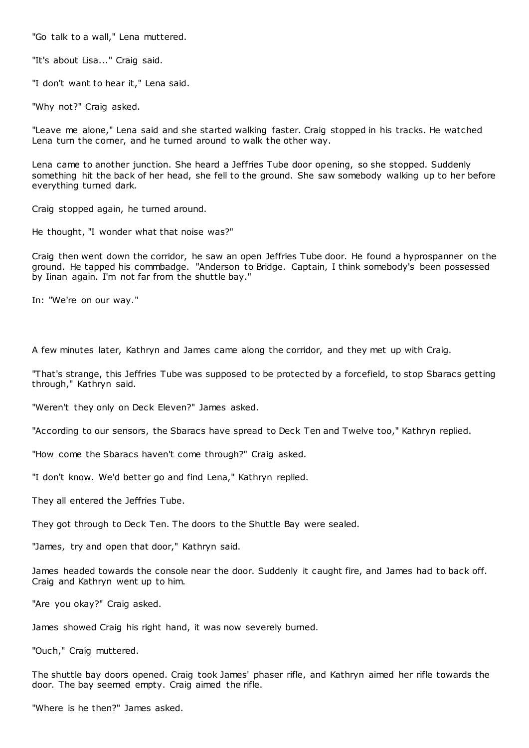"Go talk to a wall," Lena muttered.

"It's about Lisa..." Craig said.

"I don't want to hear it," Lena said.

"Why not?" Craig asked.

"Leave me alone," Lena said and she started walking faster. Craig stopped in his tracks. He watched Lena turn the corner, and he turned around to walk the other way.

Lena came to another junction. She heard a Jeffries Tube door opening, so she stopped. Suddenly something hit the back of her head, she fell to the ground. She saw somebody walking up to her before everything turned dark.

Craig stopped again, he turned around.

He thought, "I wonder what that noise was?"

Craig then went down the corridor, he saw an open Jeffries Tube door. He found a hyprospanner on the ground. He tapped his commbadge. "Anderson to Bridge. Captain, I think somebody's been possessed by Iinan again. I'm not far from the shuttle bay."

In: "We're on our way."

A few minutes later, Kathryn and James came along the corridor, and they met up with Craig.

"That's strange, this Jeffries Tube was supposed to be protected by a forcefield, to stop Sbaracs getting through," Kathryn said.

"Weren't they only on Deck Eleven?" James asked.

"According to our sensors, the Sbaracs have spread to Deck Ten and Twelve too," Kathryn replied.

"How come the Sbaracs haven't come through?" Craig asked.

"I don't know. We'd better go and find Lena," Kathryn replied.

They all entered the Jeffries Tube.

They got through to Deck Ten. The doors to the Shuttle Bay were sealed.

"James, try and open that door," Kathryn said.

James headed towards the console near the door. Suddenly it caught fire, and James had to back off. Craig and Kathryn went up to him.

"Are you okay?" Craig asked.

James showed Craig his right hand, it was now severely burned.

"Ouch," Craig muttered.

The shuttle bay doors opened. Craig took James' phaser rifle, and Kathryn aimed her rifle towards the door. The bay seemed empty. Craig aimed the rifle.

"Where is he then?" James asked.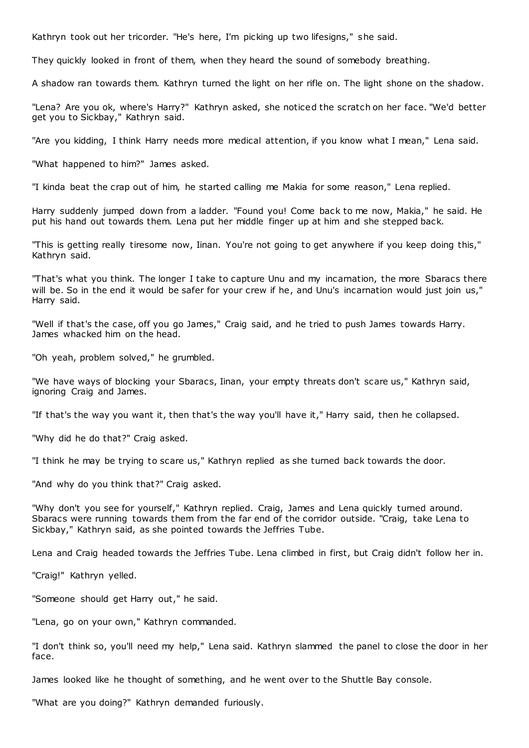Kathryn took out her tricorder. "He's here, I'm picking up two lifesigns," she said.

They quickly looked in front of them, when they heard the sound of somebody breathing.

A shadow ran towards them. Kathryn turned the light on her rifle on. The light shone on the shadow.

"Lena? Are you ok, where's Harry?" Kathryn asked, she noticed the scratch on her face. "We'd better get you to Sickbay," Kathryn said.

"Are you kidding, I think Harry needs more medical attention, if you know what I mean," Lena said.

"What happened to him?" James asked.

"I kinda beat the crap out of him, he started calling me Makia for some reason," Lena replied.

Harry suddenly jumped down from a ladder. "Found you! Come back to me now, Makia," he said. He put his hand out towards them. Lena put her middle finger up at him and she stepped back.

"This is getting really tiresome now, Iinan. You're not going to get anywhere if you keep doing this," Kathryn said.

"That's what you think. The longer I take to capture Unu and my incarnation, the more Sbaracs there will be. So in the end it would be safer for your crew if he, and Unu's incarnation would just join us," Harry said.

"Well if that's the case, off you go James," Craig said, and he tried to push James towards Harry. James whacked him on the head.

"Oh yeah, problem solved," he grumbled.

"We have ways of blocking your Sbaracs, Iinan, your empty threats don't scare us," Kathryn said, ignoring Craig and James.

"If that's the way you want it, then that's the way you'll have it," Harry said, then he collapsed.

"Why did he do that?" Craig asked.

"I think he may be trying to scare us," Kathryn replied as she turned back towards the door.

"And why do you think that?" Craig asked.

"Why don't you see for yourself," Kathryn replied. Craig, James and Lena quickly turned around. Sbaracs were running towards them from the far end of the corridor outside. "Craig, take Lena to Sickbay," Kathryn said, as she pointed towards the Jeffries Tube.

Lena and Craig headed towards the Jeffries Tube. Lena climbed in first, but Craig didn't follow her in.

"Craig!" Kathryn yelled.

"Someone should get Harry out," he said.

"Lena, go on your own," Kathryn commanded.

"I don't think so, you'll need my help," Lena said. Kathryn slammed the panel to close the door in her face.

James looked like he thought of something, and he went over to the Shuttle Bay console.

"What are you doing?" Kathryn demanded furiously.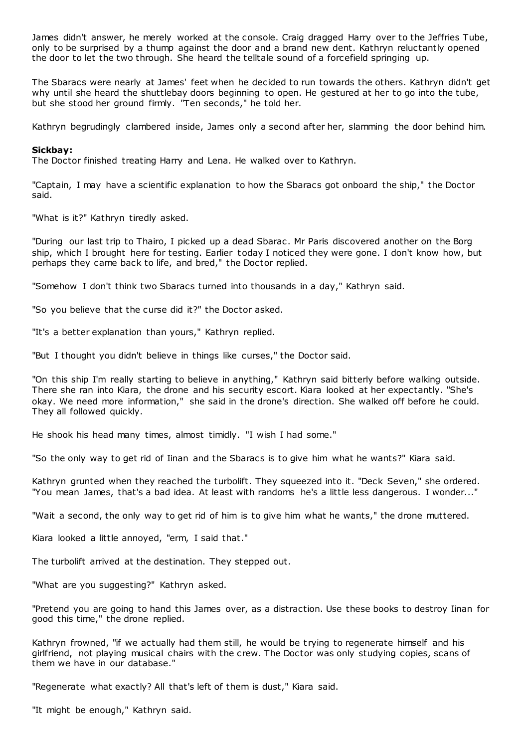James didn't answer, he merely worked at the console. Craig dragged Harry over to the Jeffries Tube, only to be surprised by a thump against the door and a brand new dent. Kathryn reluctantly opened the door to let the two through. She heard the telltale sound of a forcefield springing up.

The Sbaracs were nearly at James' feet when he decided to run towards the others. Kathryn didn't get why until she heard the shuttlebay doors beginning to open. He gestured at her to go into the tube, but she stood her ground firmly. "Ten seconds," he told her.

Kathryn begrudingly clambered inside, James only a second after her, slamming the door behind him.

## **Sickbay:**

The Doctor finished treating Harry and Lena. He walked over to Kathryn.

"Captain, I may have a scientific explanation to how the Sbaracs got onboard the ship," the Doctor said.

"What is it?" Kathryn tiredly asked.

"During our last trip to Thairo, I picked up a dead Sbarac . Mr Paris discovered another on the Borg ship, which I brought here for testing. Earlier today I noticed they were gone. I don't know how, but perhaps they came back to life, and bred," the Doctor replied.

"Somehow I don't think two Sbaracs turned into thousands in a day," Kathryn said.

"So you believe that the curse did it?" the Doctor asked.

"It's a better explanation than yours," Kathryn replied.

"But I thought you didn't believe in things like curses," the Doctor said.

"On this ship I'm really starting to believe in anything," Kathryn said bitterly before walking outside. There she ran into Kiara, the drone and his security escort. Kiara looked at her expectantly. "She's okay. We need more information," she said in the drone's direction. She walked off before he could. They all followed quickly.

He shook his head many times, almost timidly. "I wish I had some."

"So the only way to get rid of Iinan and the Sbaracs is to give him what he wants?" Kiara said.

Kathryn grunted when they reached the turbolift. They squeezed into it. "Deck Seven," she ordered. "You mean James, that's a bad idea. At least with randoms he's a little less dangerous. I wonder..."

"Wait a second, the only way to get rid of him is to give him what he wants," the drone muttered.

Kiara looked a little annoyed, "erm, I said that."

The turbolift arrived at the destination. They stepped out.

"What are you suggesting?" Kathryn asked.

"Pretend you are going to hand this James over, as a distraction. Use these books to destroy Iinan for good this time," the drone replied.

Kathryn frowned, "if we actually had them still, he would be trying to regenerate himself and his girlfriend, not playing musical chairs with the crew. The Doctor was only studying copies, scans of them we have in our database."

"Regenerate what exactly? All that's left of them is dust," Kiara said.

"It might be enough," Kathryn said.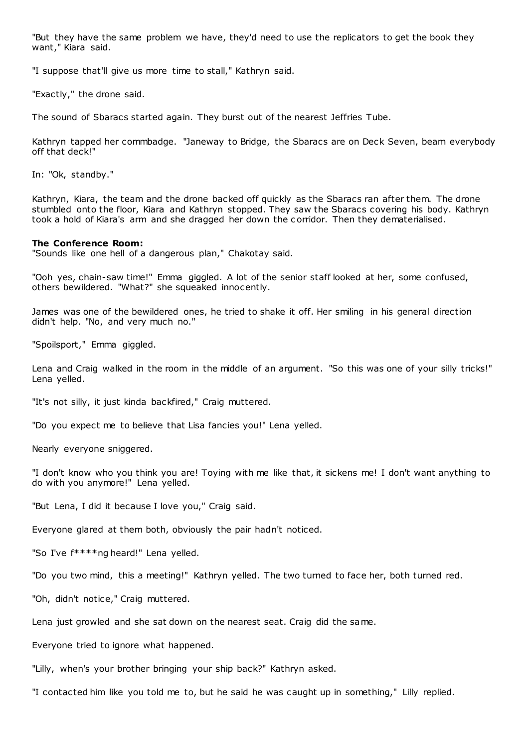"But they have the same problem we have, they'd need to use the replicators to get the book they want," Kiara said.

"I suppose that'll give us more time to stall," Kathryn said.

"Exactly," the drone said.

The sound of Sbaracs started again. They burst out of the nearest Jeffries Tube.

Kathryn tapped her commbadge. "Janeway to Bridge, the Sbaracs are on Deck Seven, beam everybody off that deck!"

In: "Ok, standby."

Kathryn, Kiara, the team and the drone backed off quickly as the Sbaracs ran after them. The drone stumbled onto the floor, Kiara and Kathryn stopped. They saw the Sbaracs covering his body. Kathryn took a hold of Kiara's arm and she dragged her down the c orridor. Then they dematerialised.

#### **The Conference Room:**

"Sounds like one hell of a dangerous plan," Chakotay said.

"Ooh yes, chain-saw time!" Emma giggled. A lot of the senior staff looked at her, some confused, others bewildered. "What?" she squeaked innocently.

James was one of the bewildered ones, he tried to shake it off. Her smiling in his general direction didn't help. "No, and very much no."

"Spoilsport," Emma giggled.

Lena and Craig walked in the room in the middle of an argument. "So this was one of your silly tricks!" Lena yelled.

"It's not silly, it just kinda backfired," Craig muttered.

"Do you expect me to believe that Lisa fancies you!" Lena yelled.

Nearly everyone sniggered.

"I don't know who you think you are! Toying with me like that, it sickens me! I don't want anything to do with you anymore!" Lena yelled.

"But Lena, I did it because I love you," Craig said.

Everyone glared at them both, obviously the pair hadn't noticed.

"So I've f\*\*\*\*ng heard!" Lena yelled.

"Do you two mind, this a meeting!" Kathryn yelled. The two turned to face her, both turned red.

"Oh, didn't notice," Craig muttered.

Lena just growled and she sat down on the nearest seat. Craig did the same.

Everyone tried to ignore what happened.

"Lilly, when's your brother bringing your ship back?" Kathryn asked.

"I contacted him like you told me to, but he said he was caught up in something," Lilly replied.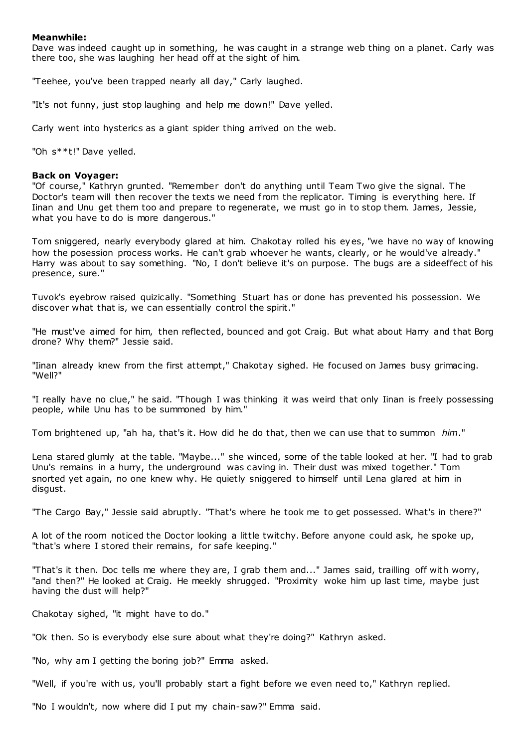## **Meanwhile:**

Dave was indeed caught up in something, he was caught in a strange web thing on a planet. Carly was there too, she was laughing her head off at the sight of him.

"Teehee, you've been trapped nearly all day," Carly laughed.

"It's not funny, just stop laughing and help me down!" Dave yelled.

Carly went into hysterics as a giant spider thing arrived on the web.

"Oh s\*\*t!" Dave yelled.

## **Back on Voyager:**

"Of course," Kathryn grunted. "Remember don't do anything until Team Two give the signal. The Doctor's team will then recover the texts we need from the replicator. Timing is everything here. If Iinan and Unu get them too and prepare to regenerate, we must go in to stop them. James, Jessie, what you have to do is more dangerous."

Tom sniggered, nearly everybody glared at him. Chakotay rolled his eyes, "we have no way of knowing how the posession process works. He can't grab whoever he wants, clearly, or he would've already." Harry was about to say something. "No, I don't believe it's on purpose. The bugs are a sideeffect of his presence, sure."

Tuvok's eyebrow raised quizically. "Something Stuart has or done has prevented his possession. We discover what that is, we can essentially control the spirit."

"He must've aimed for him, then reflected, bounced and got Craig. But what about Harry and that Borg drone? Why them?" Jessie said.

"Iinan already knew from the first attempt," Chakotay sighed. He focused on James busy grimacing. "Well?"

"I really have no clue," he said. "Though I was thinking it was weird that only Iinan is freely possessing people, while Unu has to be summoned by him."

Tom brightened up, "ah ha, that's it. How did he do that, then we can use that to summon *him*."

Lena stared glumly at the table. "Maybe..." she winced, some of the table looked at her. "I had to grab Unu's remains in a hurry, the underground was caving in. Their dust was mixed together." Tom snorted yet again, no one knew why. He quietly sniggered to himself until Lena glared at him in disgust.

"The Cargo Bay," Jessie said abruptly. "That's where he took me to get possessed. What's in there?"

A lot of the room noticed the Doctor looking a little twitchy. Before anyone could ask, he spoke up, "that's where I stored their remains, for safe keeping."

"That's it then. Doc tells me where they are, I grab them and..." James said, trailling off with worry, "and then?" He looked at Craig. He meekly shrugged. "Proximity woke him up last time, maybe just having the dust will help?"

Chakotay sighed, "it might have to do."

"Ok then. So is everybody else sure about what they're doing?" Kathryn asked.

"No, why am I getting the boring job?" Emma asked.

"Well, if you're with us, you'll probably start a fight before we even need to," Kathryn replied.

"No I wouldn't, now where did I put my chain-saw?" Emma said.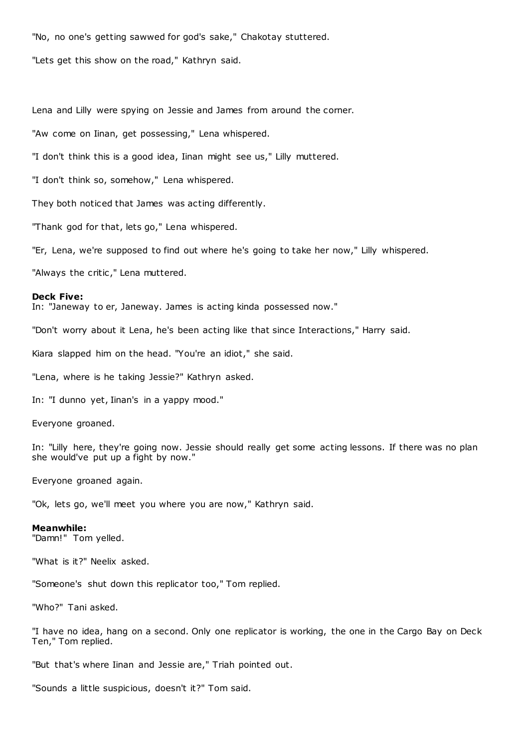"No, no one's getting sawwed for god's sake," Chakotay stuttered.

"Lets get this show on the road," Kathryn said.

Lena and Lilly were spying on Jessie and James from around the corner.

"Aw come on Iinan, get possessing," Lena whispered.

"I don't think this is a good idea, Iinan might see us," Lilly muttered.

"I don't think so, somehow," Lena whispered.

They both noticed that James was acting differently.

"Thank god for that, lets go," Lena whispered.

"Er, Lena, we're supposed to find out where he's going to take her now," Lilly whispered.

"Always the critic," Lena muttered.

#### **Deck Five:**

In: "Janeway to er, Janeway. James is acting kinda possessed now."

"Don't worry about it Lena, he's been acting like that since Interactions," Harry said.

Kiara slapped him on the head. "You're an idiot," she said.

"Lena, where is he taking Jessie?" Kathryn asked.

In: "I dunno yet, Iinan's in a yappy mood."

Everyone groaned.

In: "Lilly here, they're going now. Jessie should really get some acting lessons. If there was no plan she would've put up a fight by now."

Everyone groaned again.

"Ok, lets go, we'll meet you where you are now," Kathryn said.

#### **Meanwhile:**

"Damn!" Tom yelled.

"What is it?" Neelix asked.

"Someone's shut down this replicator too," Tom replied.

"Who?" Tani asked.

"I have no idea, hang on a second. Only one replicator is working, the one in the Cargo Bay on Deck Ten," Tom replied.

"But that's where Iinan and Jessie are," Triah pointed out.

"Sounds a little suspicious, doesn't it?" Tom said.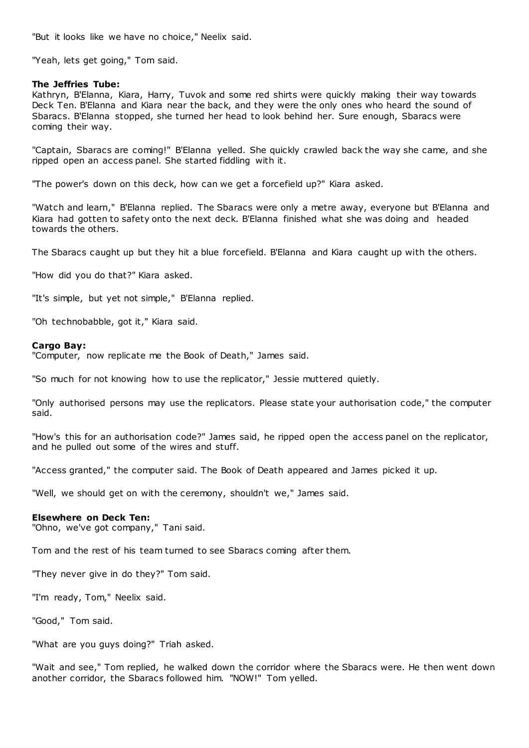"But it looks like we have no choice," Neelix said.

"Yeah, lets get going," Tom said.

## **The Jeffries Tube:**

Kathryn, B'Elanna, Kiara, Harry, Tuvok and some red shirts were quickly making their way towards Deck Ten. B'Elanna and Kiara near the back, and they were the only ones who heard the sound of Sbaracs. B'Elanna stopped, she turned her head to look behind her. Sure enough, Sbaracs were coming their way.

"Captain, Sbaracs are coming!" B'Elanna yelled. She quickly crawled back the way she came, and she ripped open an access panel. She started fiddling with it.

"The power's down on this deck, how can we get a forcefield up?" Kiara asked.

"Watch and learn," B'Elanna replied. The Sbaracs were only a metre away, everyone but B'Elanna and Kiara had gotten to safety onto the next deck. B'Elanna finished what she was doing and headed towards the others.

The Sbaracs caught up but they hit a blue forcefield. B'Elanna and Kiara caught up with the others.

"How did you do that?" Kiara asked.

"It's simple, but yet not simple," B'Elanna replied.

"Oh technobabble, got it," Kiara said.

#### **Cargo Bay:**

"Computer, now replicate me the Book of Death," James said.

"So much for not knowing how to use the replicator," Jessie muttered quietly.

"Only authorised persons may use the replicators. Please state your authorisation code," the computer said.

"How's this for an authorisation code?" James said, he ripped open the access panel on the replicator, and he pulled out some of the wires and stuff.

"Access granted," the computer said. The Book of Death appeared and James picked it up.

"Well, we should get on with the ceremony, shouldn't we," James said.

#### **Elsewhere on Deck Ten:**

"Ohno, we've got company," Tani said.

Tom and the rest of his team turned to see Sbaracs coming after them.

"They never give in do they?" Tom said.

"I'm ready, Tom," Neelix said.

"Good," Tom said.

"What are you guys doing?" Triah asked.

"Wait and see," Tom replied, he walked down the corridor where the Sbaracs were. He then went down another corridor, the Sbaracs followed him. "NOW!" Tom yelled.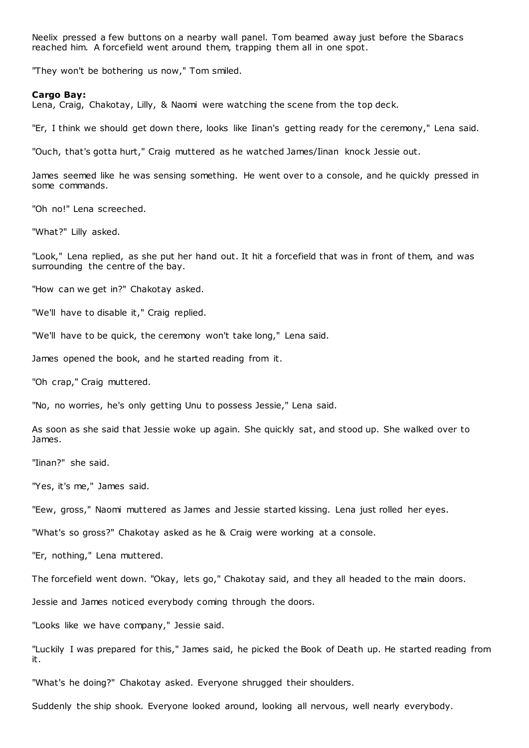Neelix pressed a few buttons on a nearby wall panel. Tom beamed away just before the Sbaracs reached him. A forcefield went around them, trapping them all in one spot.

"They won't be bothering us now," Tom smiled.

#### **Cargo Bay:**

Lena, Craig, Chakotay, Lilly, & Naomi were watching the scene from the top deck.

"Er, I think we should get down there, looks like Iinan's getting ready for the ceremony," Lena said.

"Ouch, that's gotta hurt," Craig muttered as he watched James/Iinan knock Jessie out.

James seemed like he was sensing something. He went over to a console, and he quickly pressed in some commands.

"Oh no!" Lena screeched.

"What?" Lilly asked.

"Look," Lena replied, as she put her hand out. It hit a forcefield that was in front of them, and was surrounding the centre of the bay.

"How can we get in?" Chakotay asked.

"We'll have to disable it," Craig replied.

"We'll have to be quick, the ceremony won't take long," Lena said.

James opened the book, and he started reading from it.

"Oh crap," Craig muttered.

"No, no worries, he's only getting Unu to possess Jessie," Lena said.

As soon as she said that Jessie woke up again. She quickly sat, and stood up. She walked over to James.

"Iinan?" she said.

"Yes, it's me," James said.

"Eew, gross," Naomi muttered as James and Jessie started kissing. Lena just rolled her eyes.

"What's so gross?" Chakotay asked as he & Craig were working at a console.

"Er, nothing," Lena muttered.

The forcefield went down. "Okay, lets go," Chakotay said, and they all headed to the main doors.

Jessie and James noticed everybody coming through the doors.

"Looks like we have company," Jessie said.

"Luckily I was prepared for this," James said, he picked the Book of Death up. He started reading from it.

"What's he doing?" Chakotay asked. Everyone shrugged their shoulders.

Suddenly the ship shook. Everyone looked around, looking all nervous, well nearly everybody.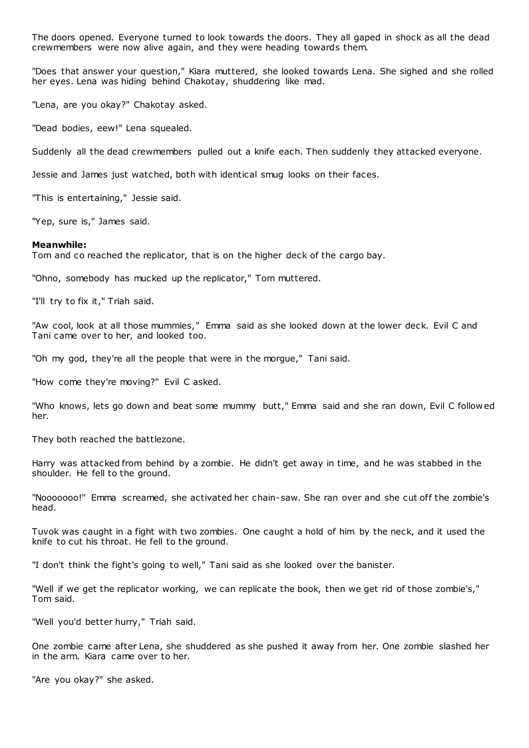The doors opened. Everyone turned to look towards the doors. They all gaped in shock as all the dead crewmembers were now alive again, and they were heading towards them.

"Does that answer your question," Kiara muttered, she looked towards Lena. She sighed and she rolled her eyes. Lena was hiding behind Chakotay, shuddering like mad.

"Lena, are you okay?" Chakotay asked.

"Dead bodies, eew!" Lena squealed.

Suddenly all the dead crewmembers pulled out a knife each. Then suddenly they attacked everyone.

Jessie and James just watched, both with identical smug looks on their faces.

"This is entertaining," Jessie said.

"Yep, sure is," James said.

#### **Meanwhile:**

Tom and co reached the replicator, that is on the higher deck of the cargo bay.

"Ohno, somebody has mucked up the replicator," Tom muttered.

"I'll try to fix it," Triah said.

"Aw cool, look at all those mummies," Emma said as she looked down at the lower deck. Evil C and Tani came over to her, and looked too.

"Oh my god, they're all the people that were in the morgue," Tani said.

"How come they're moving?" Evil C asked.

"Who knows, lets go down and beat some mummy butt," Emma said and she ran down, Evil C follow ed her.

They both reached the battlezone.

Harry was attacked from behind by a zombie. He didn't get away in time, and he was stabbed in the shoulder. He fell to the ground.

"Nooooooo!" Emma screamed, she activated her chain-saw. She ran over and she cut off the zombie's head.

Tuvok was caught in a fight with two zombies. One caught a hold of him by the neck, and it used the knife to cut his throat. He fell to the ground.

"I don't think the fight's going to well," Tani said as she looked over the banister.

"Well if we get the replicator working, we can replicate the book, then we get rid of those zombie's," Tom said.

"Well you'd better hurry," Triah said.

One zombie came after Lena, she shuddered as she pushed it away from her. One zombie slashed her in the arm. Kiara came over to her.

"Are you okay?" she asked.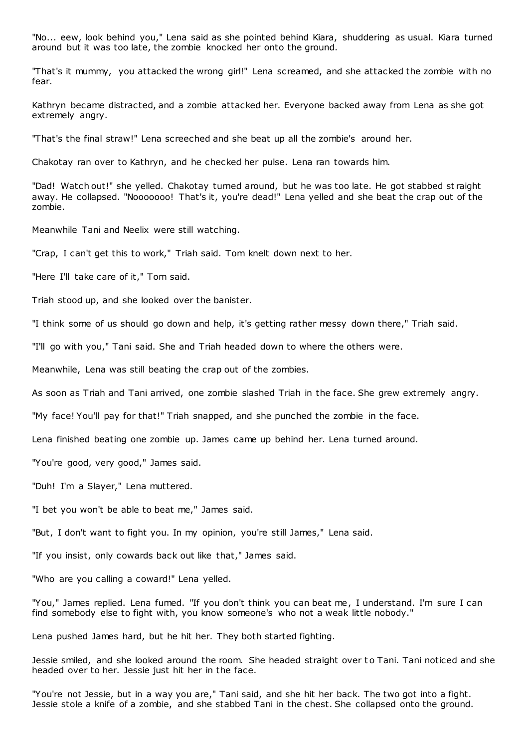"No... eew, look behind you," Lena said as she pointed behind Kiara, shuddering as usual. Kiara turned around but it was too late, the zombie knocked her onto the ground.

"That's it mummy, you attacked the wrong girl!" Lena screamed, and she attacked the zombie with no fear.

Kathryn became distracted, and a zombie attacked her. Everyone backed away from Lena as she got extremely angry.

"That's the final straw!" Lena screeched and she beat up all the zombie's around her.

Chakotay ran over to Kathryn, and he checked her pulse. Lena ran towards him.

"Dad! Watch out!" she yelled. Chakotay turned around, but he was too late. He got stabbed st raight away. He collapsed. "Nooooooo! That's it, you're dead!" Lena yelled and she beat the crap out of the zombie.

Meanwhile Tani and Neelix were still watching.

"Crap, I can't get this to work," Triah said. Tom knelt down next to her.

"Here I'll take care of it," Tom said.

Triah stood up, and she looked over the banister.

"I think some of us should go down and help, it's getting rather messy down there," Triah said.

"I'll go with you," Tani said. She and Triah headed down to where the others were.

Meanwhile, Lena was still beating the crap out of the zombies.

As soon as Triah and Tani arrived, one zombie slashed Triah in the face. She grew extremely angry.

"My face! You'll pay for that!" Triah snapped, and she punched the zombie in the face.

Lena finished beating one zombie up. James came up behind her. Lena turned around.

"You're good, very good," James said.

"Duh! I'm a Slayer," Lena muttered.

"I bet you won't be able to beat me," James said.

"But, I don't want to fight you. In my opinion, you're still James," Lena said.

"If you insist, only cowards back out like that," James said.

"Who are you calling a coward!" Lena yelled.

"You," James replied. Lena fumed. "If you don't think you can beat me, I understand. I'm sure I can find somebody else to fight with, you know someone's who not a weak little nobody."

Lena pushed James hard, but he hit her. They both started fighting.

Jessie smiled, and she looked around the room. She headed straight over t o Tani. Tani noticed and she headed over to her. Jessie just hit her in the face.

"You're not Jessie, but in a way you are," Tani said, and she hit her back. The two got into a fight. Jessie stole a knife of a zombie, and she stabbed Tani in the chest. She collapsed onto the ground.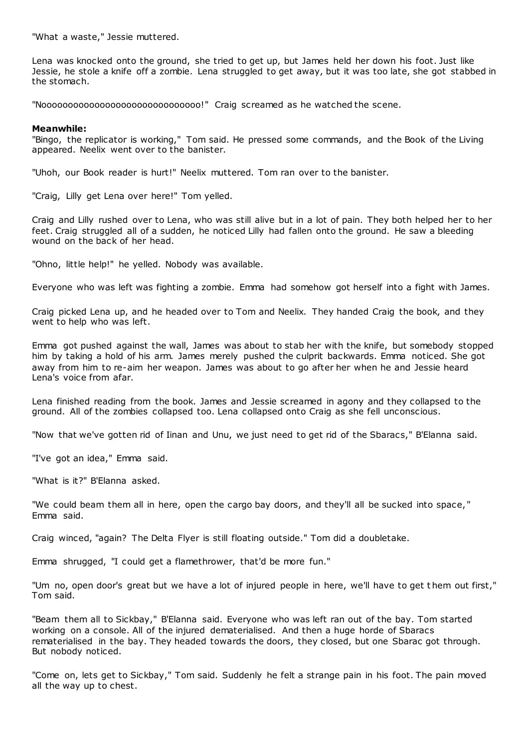"What a waste," Jessie muttered.

Lena was knocked onto the ground, she tried to get up, but James held her down his foot. Just like Jessie, he stole a knife off a zombie. Lena struggled to get away, but it was too late, she got stabbed in the stomach.

"Noooooooooooooooooooooooooooooo!" Craig screamed as he watched the scene.

## **Meanwhile:**

"Bingo, the replicator is working," Tom said. He pressed some commands, and the Book of the Living appeared. Neelix went over to the banister.

"Uhoh, our Book reader is hurt!" Neelix muttered. Tom ran over to the banister.

"Craig, Lilly get Lena over here!" Tom yelled.

Craig and Lilly rushed over to Lena, who was still alive but in a lot of pain. They both helped her to her feet. Craig struggled all of a sudden, he noticed Lilly had fallen onto the ground. He saw a bleeding wound on the back of her head.

"Ohno, little help!" he yelled. Nobody was available.

Everyone who was left was fighting a zombie. Emma had somehow got herself into a fight with James.

Craig picked Lena up, and he headed over to Tom and Neelix. They handed Craig the book, and they went to help who was left.

Emma got pushed against the wall, James was about to stab her with the knife, but somebody stopped him by taking a hold of his arm. James merely pushed the culprit backwards. Emma noticed. She got away from him to re-aim her weapon. James was about to go after her when he and Jessie heard Lena's voice from afar.

Lena finished reading from the book. James and Jessie screamed in agony and they collapsed to the ground. All of the zombies collapsed too. Lena collapsed onto Craig as she fell unconscious.

"Now that we've gotten rid of Iinan and Unu, we just need to get rid of the Sbaracs," B'Elanna said.

"I've got an idea," Emma said.

"What is it?" B'Elanna asked.

"We could beam them all in here, open the cargo bay doors, and they'll all be sucked into space, " Emma said.

Craig winced, "again? The Delta Flyer is still floating outside." Tom did a doubletake.

Emma shrugged, "I could get a flamethrower, that'd be more fun."

"Um no, open door's great but we have a lot of injured people in here, we'll have to get t hem out first," Tom said.

"Beam them all to Sickbay," B'Elanna said. Everyone who was left ran out of the bay. Tom started working on a console. All of the injured dematerialised. And then a huge horde of Sbaracs rematerialised in the bay. They headed towards the doors, they closed, but one Sbarac got through. But nobody noticed.

"Come on, lets get to Sickbay," Tom said. Suddenly he felt a strange pain in his foot. The pain moved all the way up to chest.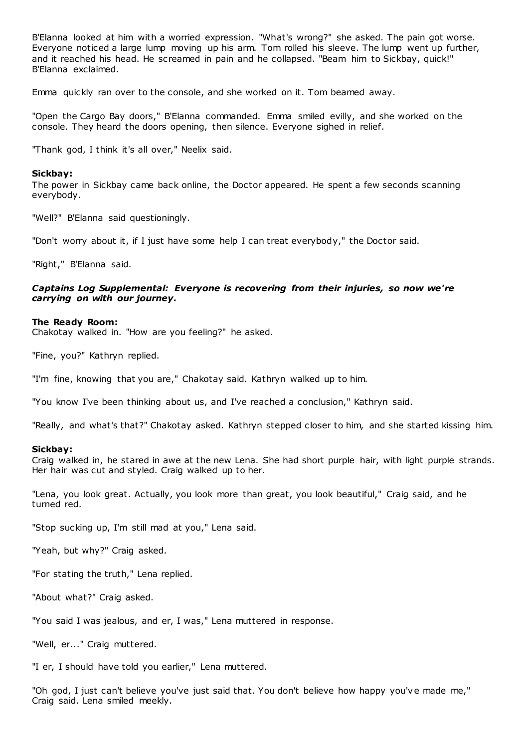B'Elanna looked at him with a worried expression. "What's wrong?" she asked. The pain got worse. Everyone noticed a large lump moving up his arm. Tom rolled his sleeve. The lump went up further, and it reached his head. He screamed in pain and he collapsed. "Beam him to Sickbay, quick!" B'Elanna exclaimed.

Emma quickly ran over to the console, and she worked on it. Tom beamed away.

"Open the Cargo Bay doors," B'Elanna commanded. Emma smiled evilly, and she worked on the console. They heard the doors opening, then silence. Everyone sighed in relief.

"Thank god, I think it's all over," Neelix said.

## **Sickbay:**

The power in Sickbay came back online, the Doctor appeared. He spent a few seconds scanning everybody.

"Well?" B'Elanna said questioningly.

"Don't worry about it, if I just have some help I can treat everybody," the Doctor said.

"Right," B'Elanna said.

## *Captains Log Supplemental: Everyone is recovering from their injuries, so now we're carrying on with our journey.*

#### **The Ready Room:**

Chakotay walked in. "How are you feeling?" he asked.

"Fine, you?" Kathryn replied.

"I'm fine, knowing that you are," Chakotay said. Kathryn walked up to him.

"You know I've been thinking about us, and I've reached a conclusion," Kathryn said.

"Really, and what's that?" Chakotay asked. Kathryn stepped closer to him, and she started kissing him.

#### **Sickbay:**

Craig walked in, he stared in awe at the new Lena. She had short purple hair, with light purple strands. Her hair was cut and styled. Craig walked up to her.

"Lena, you look great. Actually, you look more than great, you look beautiful," Craig said, and he turned red.

"Stop sucking up, I'm still mad at you," Lena said.

"Yeah, but why?" Craig asked.

"For stating the truth," Lena replied.

"About what?" Craig asked.

"You said I was jealous, and er, I was," Lena muttered in response.

"Well, er..." Craig muttered.

"I er, I should have told you earlier," Lena muttered.

"Oh god, I just can't believe you've just said that. You don't believe how happy you've made me," Craig said. Lena smiled meekly.